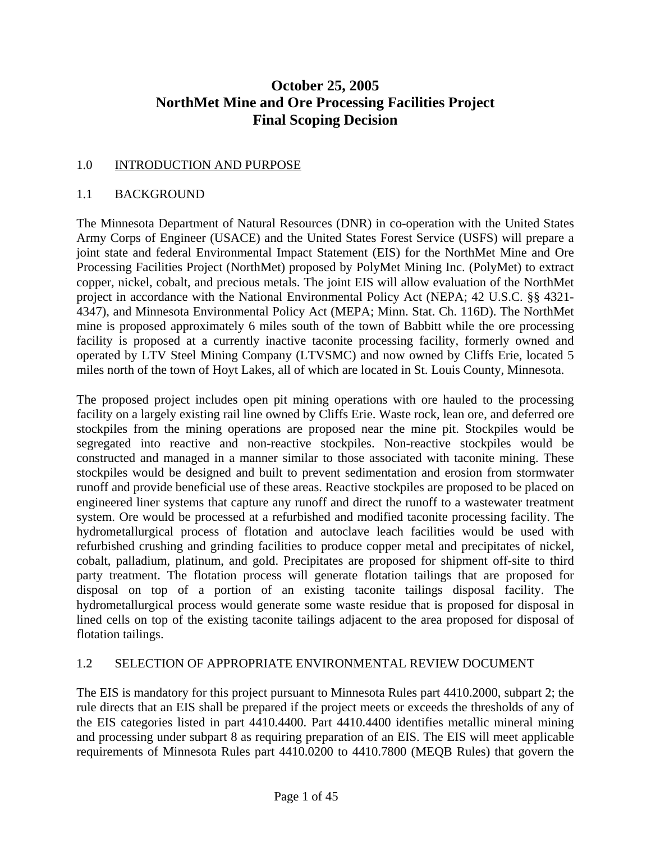# **October 25, 2005 NorthMet Mine and Ore Processing Facilities Project Final Scoping Decision**

### 1.0 INTRODUCTION AND PURPOSE

#### 1.1 BACKGROUND

The Minnesota Department of Natural Resources (DNR) in co-operation with the United States Army Corps of Engineer (USACE) and the United States Forest Service (USFS) will prepare a joint state and federal Environmental Impact Statement (EIS) for the NorthMet Mine and Ore Processing Facilities Project (NorthMet) proposed by PolyMet Mining Inc. (PolyMet) to extract copper, nickel, cobalt, and precious metals. The joint EIS will allow evaluation of the NorthMet project in accordance with the National Environmental Policy Act (NEPA; 42 U.S.C. §§ 4321- 4347), and Minnesota Environmental Policy Act (MEPA; Minn. Stat. Ch. 116D). The NorthMet mine is proposed approximately 6 miles south of the town of Babbitt while the ore processing facility is proposed at a currently inactive taconite processing facility, formerly owned and operated by LTV Steel Mining Company (LTVSMC) and now owned by Cliffs Erie, located 5 miles north of the town of Hoyt Lakes, all of which are located in St. Louis County, Minnesota.

The proposed project includes open pit mining operations with ore hauled to the processing facility on a largely existing rail line owned by Cliffs Erie. Waste rock, lean ore, and deferred ore stockpiles from the mining operations are proposed near the mine pit. Stockpiles would be segregated into reactive and non-reactive stockpiles. Non-reactive stockpiles would be constructed and managed in a manner similar to those associated with taconite mining. These stockpiles would be designed and built to prevent sedimentation and erosion from stormwater runoff and provide beneficial use of these areas. Reactive stockpiles are proposed to be placed on engineered liner systems that capture any runoff and direct the runoff to a wastewater treatment system. Ore would be processed at a refurbished and modified taconite processing facility. The hydrometallurgical process of flotation and autoclave leach facilities would be used with refurbished crushing and grinding facilities to produce copper metal and precipitates of nickel, cobalt, palladium, platinum, and gold. Precipitates are proposed for shipment off-site to third party treatment. The flotation process will generate flotation tailings that are proposed for disposal on top of a portion of an existing taconite tailings disposal facility. The hydrometallurgical process would generate some waste residue that is proposed for disposal in lined cells on top of the existing taconite tailings adjacent to the area proposed for disposal of flotation tailings.

### 1.2 SELECTION OF APPROPRIATE ENVIRONMENTAL REVIEW DOCUMENT

The EIS is mandatory for this project pursuant to Minnesota Rules part 4410.2000, subpart 2; the rule directs that an EIS shall be prepared if the project meets or exceeds the thresholds of any of the EIS categories listed in part 4410.4400. Part 4410.4400 identifies metallic mineral mining and processing under subpart 8 as requiring preparation of an EIS. The EIS will meet applicable requirements of Minnesota Rules part 4410.0200 to 4410.7800 (MEQB Rules) that govern the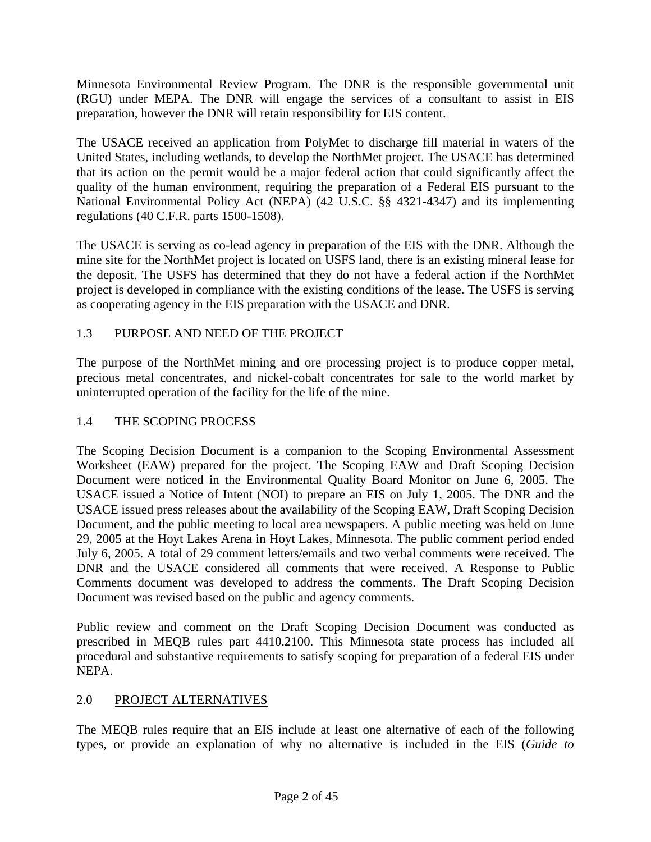Minnesota Environmental Review Program. The DNR is the responsible governmental unit (RGU) under MEPA. The DNR will engage the services of a consultant to assist in EIS preparation, however the DNR will retain responsibility for EIS content.

The USACE received an application from PolyMet to discharge fill material in waters of the United States, including wetlands, to develop the NorthMet project. The USACE has determined that its action on the permit would be a major federal action that could significantly affect the quality of the human environment, requiring the preparation of a Federal EIS pursuant to the National Environmental Policy Act (NEPA) (42 U.S.C. §§ 4321-4347) and its implementing regulations (40 C.F.R. parts 1500-1508).

The USACE is serving as co-lead agency in preparation of the EIS with the DNR. Although the mine site for the NorthMet project is located on USFS land, there is an existing mineral lease for the deposit. The USFS has determined that they do not have a federal action if the NorthMet project is developed in compliance with the existing conditions of the lease. The USFS is serving as cooperating agency in the EIS preparation with the USACE and DNR.

# 1.3 PURPOSE AND NEED OF THE PROJECT

The purpose of the NorthMet mining and ore processing project is to produce copper metal, precious metal concentrates, and nickel-cobalt concentrates for sale to the world market by uninterrupted operation of the facility for the life of the mine.

## 1.4 THE SCOPING PROCESS

The Scoping Decision Document is a companion to the Scoping Environmental Assessment Worksheet (EAW) prepared for the project. The Scoping EAW and Draft Scoping Decision Document were noticed in the Environmental Quality Board Monitor on June 6, 2005. The USACE issued a Notice of Intent (NOI) to prepare an EIS on July 1, 2005. The DNR and the USACE issued press releases about the availability of the Scoping EAW, Draft Scoping Decision Document, and the public meeting to local area newspapers. A public meeting was held on June 29, 2005 at the Hoyt Lakes Arena in Hoyt Lakes, Minnesota. The public comment period ended July 6, 2005. A total of 29 comment letters/emails and two verbal comments were received. The DNR and the USACE considered all comments that were received. A Response to Public Comments document was developed to address the comments. The Draft Scoping Decision Document was revised based on the public and agency comments.

Public review and comment on the Draft Scoping Decision Document was conducted as prescribed in MEQB rules part 4410.2100. This Minnesota state process has included all procedural and substantive requirements to satisfy scoping for preparation of a federal EIS under NEPA.

## 2.0 PROJECT ALTERNATIVES

The MEQB rules require that an EIS include at least one alternative of each of the following types, or provide an explanation of why no alternative is included in the EIS (*Guide to*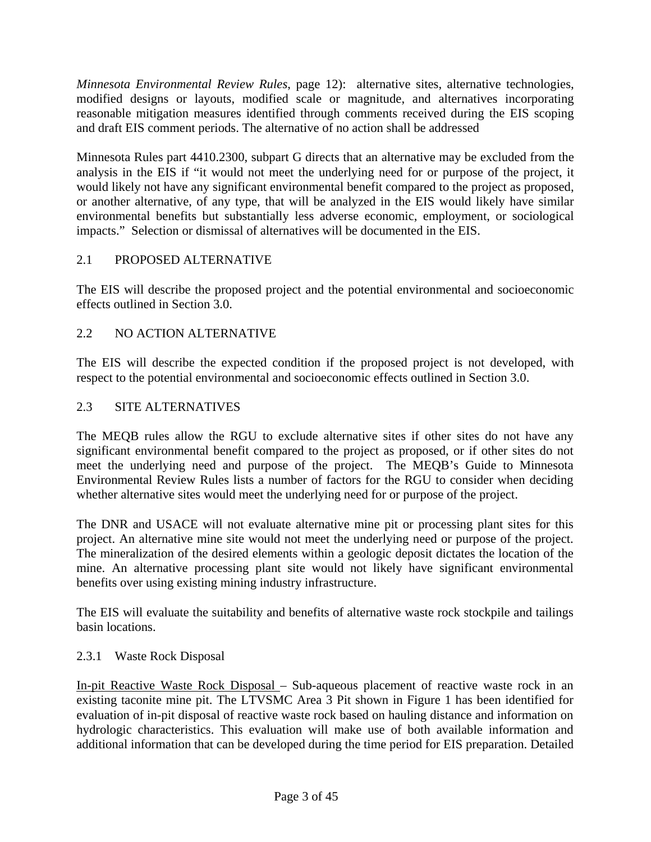*Minnesota Environmental Review Rules*, page 12): alternative sites, alternative technologies, modified designs or layouts, modified scale or magnitude, and alternatives incorporating reasonable mitigation measures identified through comments received during the EIS scoping and draft EIS comment periods. The alternative of no action shall be addressed

Minnesota Rules part 4410.2300, subpart G directs that an alternative may be excluded from the analysis in the EIS if "it would not meet the underlying need for or purpose of the project, it would likely not have any significant environmental benefit compared to the project as proposed, or another alternative, of any type, that will be analyzed in the EIS would likely have similar environmental benefits but substantially less adverse economic, employment, or sociological impacts." Selection or dismissal of alternatives will be documented in the EIS.

### 2.1 PROPOSED ALTERNATIVE

The EIS will describe the proposed project and the potential environmental and socioeconomic effects outlined in Section 3.0.

### 2.2 NO ACTION ALTERNATIVE

The EIS will describe the expected condition if the proposed project is not developed, with respect to the potential environmental and socioeconomic effects outlined in Section 3.0.

### 2.3 SITE ALTERNATIVES

The MEQB rules allow the RGU to exclude alternative sites if other sites do not have any significant environmental benefit compared to the project as proposed, or if other sites do not meet the underlying need and purpose of the project. The MEQB's Guide to Minnesota Environmental Review Rules lists a number of factors for the RGU to consider when deciding whether alternative sites would meet the underlying need for or purpose of the project.

The DNR and USACE will not evaluate alternative mine pit or processing plant sites for this project. An alternative mine site would not meet the underlying need or purpose of the project. The mineralization of the desired elements within a geologic deposit dictates the location of the mine. An alternative processing plant site would not likely have significant environmental benefits over using existing mining industry infrastructure.

The EIS will evaluate the suitability and benefits of alternative waste rock stockpile and tailings basin locations.

### 2.3.1 Waste Rock Disposal

In-pit Reactive Waste Rock Disposal – Sub-aqueous placement of reactive waste rock in an existing taconite mine pit. The LTVSMC Area 3 Pit shown in Figure 1 has been identified for evaluation of in-pit disposal of reactive waste rock based on hauling distance and information on hydrologic characteristics. This evaluation will make use of both available information and additional information that can be developed during the time period for EIS preparation. Detailed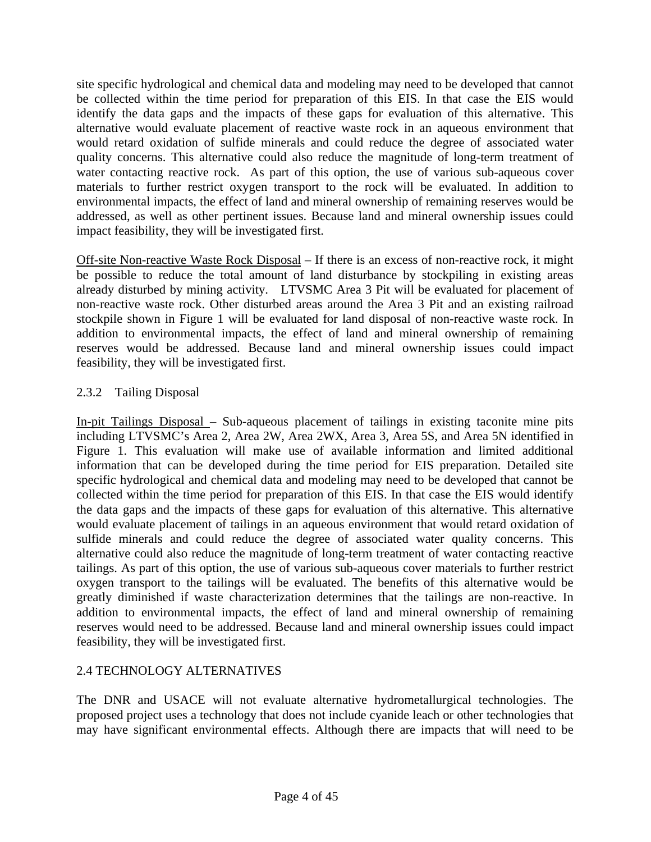site specific hydrological and chemical data and modeling may need to be developed that cannot be collected within the time period for preparation of this EIS. In that case the EIS would identify the data gaps and the impacts of these gaps for evaluation of this alternative. This alternative would evaluate placement of reactive waste rock in an aqueous environment that would retard oxidation of sulfide minerals and could reduce the degree of associated water quality concerns. This alternative could also reduce the magnitude of long-term treatment of water contacting reactive rock. As part of this option, the use of various sub-aqueous cover materials to further restrict oxygen transport to the rock will be evaluated. In addition to environmental impacts, the effect of land and mineral ownership of remaining reserves would be addressed, as well as other pertinent issues. Because land and mineral ownership issues could impact feasibility, they will be investigated first.

Off-site Non-reactive Waste Rock Disposal – If there is an excess of non-reactive rock, it might be possible to reduce the total amount of land disturbance by stockpiling in existing areas already disturbed by mining activity. LTVSMC Area 3 Pit will be evaluated for placement of non-reactive waste rock. Other disturbed areas around the Area 3 Pit and an existing railroad stockpile shown in Figure 1 will be evaluated for land disposal of non-reactive waste rock. In addition to environmental impacts, the effect of land and mineral ownership of remaining reserves would be addressed. Because land and mineral ownership issues could impact feasibility, they will be investigated first.

### 2.3.2 Tailing Disposal

In-pit Tailings Disposal – Sub-aqueous placement of tailings in existing taconite mine pits including LTVSMC's Area 2, Area 2W, Area 2WX, Area 3, Area 5S, and Area 5N identified in Figure 1. This evaluation will make use of available information and limited additional information that can be developed during the time period for EIS preparation. Detailed site specific hydrological and chemical data and modeling may need to be developed that cannot be collected within the time period for preparation of this EIS. In that case the EIS would identify the data gaps and the impacts of these gaps for evaluation of this alternative. This alternative would evaluate placement of tailings in an aqueous environment that would retard oxidation of sulfide minerals and could reduce the degree of associated water quality concerns. This alternative could also reduce the magnitude of long-term treatment of water contacting reactive tailings. As part of this option, the use of various sub-aqueous cover materials to further restrict oxygen transport to the tailings will be evaluated. The benefits of this alternative would be greatly diminished if waste characterization determines that the tailings are non-reactive. In addition to environmental impacts, the effect of land and mineral ownership of remaining reserves would need to be addressed. Because land and mineral ownership issues could impact feasibility, they will be investigated first.

### 2.4 TECHNOLOGY ALTERNATIVES

The DNR and USACE will not evaluate alternative hydrometallurgical technologies. The proposed project uses a technology that does not include cyanide leach or other technologies that may have significant environmental effects. Although there are impacts that will need to be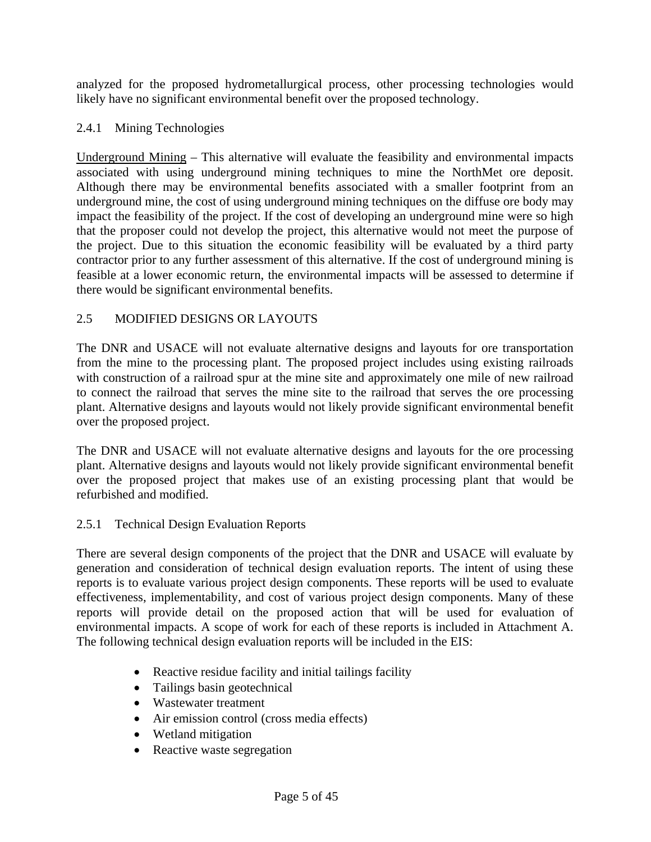analyzed for the proposed hydrometallurgical process, other processing technologies would likely have no significant environmental benefit over the proposed technology.

### 2.4.1 Mining Technologies

Underground Mining – This alternative will evaluate the feasibility and environmental impacts associated with using underground mining techniques to mine the NorthMet ore deposit. Although there may be environmental benefits associated with a smaller footprint from an underground mine, the cost of using underground mining techniques on the diffuse ore body may impact the feasibility of the project. If the cost of developing an underground mine were so high that the proposer could not develop the project, this alternative would not meet the purpose of the project. Due to this situation the economic feasibility will be evaluated by a third party contractor prior to any further assessment of this alternative. If the cost of underground mining is feasible at a lower economic return, the environmental impacts will be assessed to determine if there would be significant environmental benefits.

## 2.5 MODIFIED DESIGNS OR LAYOUTS

The DNR and USACE will not evaluate alternative designs and layouts for ore transportation from the mine to the processing plant. The proposed project includes using existing railroads with construction of a railroad spur at the mine site and approximately one mile of new railroad to connect the railroad that serves the mine site to the railroad that serves the ore processing plant. Alternative designs and layouts would not likely provide significant environmental benefit over the proposed project.

The DNR and USACE will not evaluate alternative designs and layouts for the ore processing plant. Alternative designs and layouts would not likely provide significant environmental benefit over the proposed project that makes use of an existing processing plant that would be refurbished and modified.

### 2.5.1 Technical Design Evaluation Reports

There are several design components of the project that the DNR and USACE will evaluate by generation and consideration of technical design evaluation reports. The intent of using these reports is to evaluate various project design components. These reports will be used to evaluate effectiveness, implementability, and cost of various project design components. Many of these reports will provide detail on the proposed action that will be used for evaluation of environmental impacts. A scope of work for each of these reports is included in Attachment A. The following technical design evaluation reports will be included in the EIS:

- Reactive residue facility and initial tailings facility
- Tailings basin geotechnical
- Wastewater treatment
- Air emission control (cross media effects)
- Wetland mitigation
- Reactive waste segregation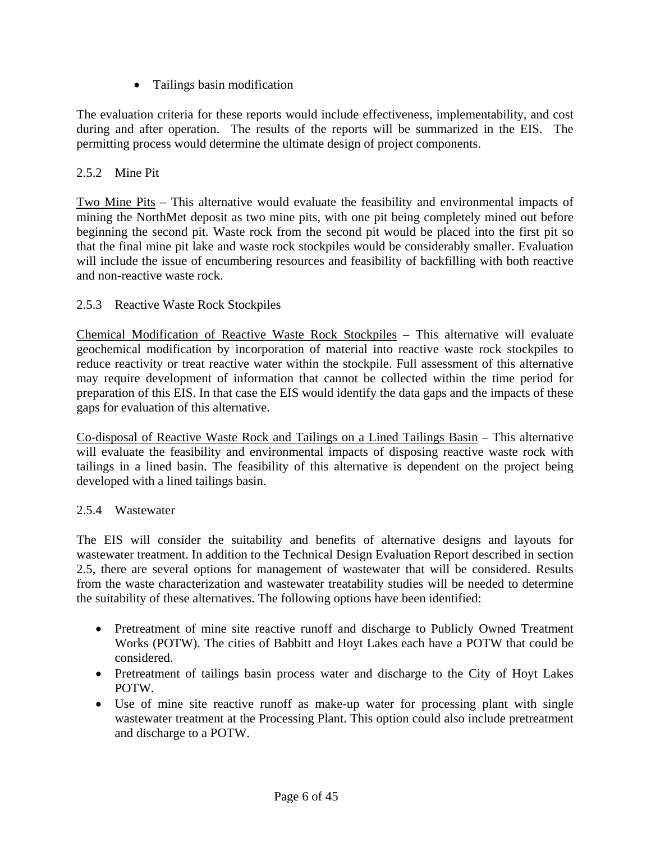• Tailings basin modification

The evaluation criteria for these reports would include effectiveness, implementability, and cost during and after operation. The results of the reports will be summarized in the EIS. The permitting process would determine the ultimate design of project components.

### 2.5.2 Mine Pit

Two Mine Pits – This alternative would evaluate the feasibility and environmental impacts of mining the NorthMet deposit as two mine pits, with one pit being completely mined out before beginning the second pit. Waste rock from the second pit would be placed into the first pit so that the final mine pit lake and waste rock stockpiles would be considerably smaller. Evaluation will include the issue of encumbering resources and feasibility of backfilling with both reactive and non-reactive waste rock.

### 2.5.3 Reactive Waste Rock Stockpiles

Chemical Modification of Reactive Waste Rock Stockpiles – This alternative will evaluate geochemical modification by incorporation of material into reactive waste rock stockpiles to reduce reactivity or treat reactive water within the stockpile. Full assessment of this alternative may require development of information that cannot be collected within the time period for preparation of this EIS. In that case the EIS would identify the data gaps and the impacts of these gaps for evaluation of this alternative.

Co-disposal of Reactive Waste Rock and Tailings on a Lined Tailings Basin – This alternative will evaluate the feasibility and environmental impacts of disposing reactive waste rock with tailings in a lined basin. The feasibility of this alternative is dependent on the project being developed with a lined tailings basin.

### 2.5.4 Wastewater

The EIS will consider the suitability and benefits of alternative designs and layouts for wastewater treatment. In addition to the Technical Design Evaluation Report described in section 2.5, there are several options for management of wastewater that will be considered. Results from the waste characterization and wastewater treatability studies will be needed to determine the suitability of these alternatives. The following options have been identified:

- Pretreatment of mine site reactive runoff and discharge to Publicly Owned Treatment Works (POTW). The cities of Babbitt and Hoyt Lakes each have a POTW that could be considered.
- Pretreatment of tailings basin process water and discharge to the City of Hoyt Lakes POTW.
- Use of mine site reactive runoff as make-up water for processing plant with single wastewater treatment at the Processing Plant. This option could also include pretreatment and discharge to a POTW.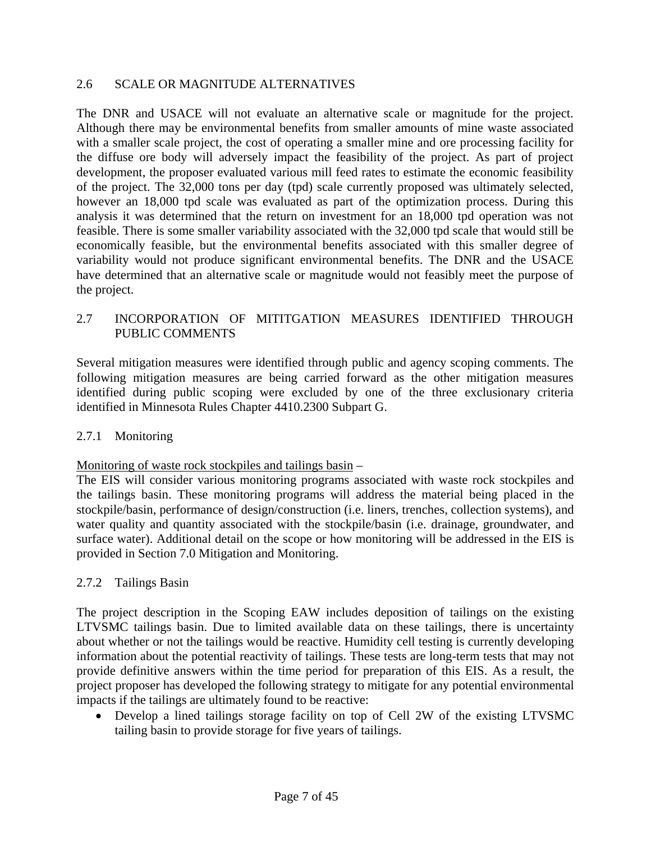#### 2.6 SCALE OR MAGNITUDE ALTERNATIVES

The DNR and USACE will not evaluate an alternative scale or magnitude for the project. Although there may be environmental benefits from smaller amounts of mine waste associated with a smaller scale project, the cost of operating a smaller mine and ore processing facility for the diffuse ore body will adversely impact the feasibility of the project. As part of project development, the proposer evaluated various mill feed rates to estimate the economic feasibility of the project. The 32,000 tons per day (tpd) scale currently proposed was ultimately selected, however an 18,000 tpd scale was evaluated as part of the optimization process. During this analysis it was determined that the return on investment for an 18,000 tpd operation was not feasible. There is some smaller variability associated with the 32,000 tpd scale that would still be economically feasible, but the environmental benefits associated with this smaller degree of variability would not produce significant environmental benefits. The DNR and the USACE have determined that an alternative scale or magnitude would not feasibly meet the purpose of the project.

### 2.7 INCORPORATION OF MITITGATION MEASURES IDENTIFIED THROUGH PUBLIC COMMENTS

Several mitigation measures were identified through public and agency scoping comments. The following mitigation measures are being carried forward as the other mitigation measures identified during public scoping were excluded by one of the three exclusionary criteria identified in Minnesota Rules Chapter 4410.2300 Subpart G.

#### 2.7.1 Monitoring

#### Monitoring of waste rock stockpiles and tailings basin –

The EIS will consider various monitoring programs associated with waste rock stockpiles and the tailings basin. These monitoring programs will address the material being placed in the stockpile/basin, performance of design/construction (i.e. liners, trenches, collection systems), and water quality and quantity associated with the stockpile/basin (i.e. drainage, groundwater, and surface water). Additional detail on the scope or how monitoring will be addressed in the EIS is provided in Section 7.0 Mitigation and Monitoring.

### 2.7.2 Tailings Basin

The project description in the Scoping EAW includes deposition of tailings on the existing LTVSMC tailings basin. Due to limited available data on these tailings, there is uncertainty about whether or not the tailings would be reactive. Humidity cell testing is currently developing information about the potential reactivity of tailings. These tests are long-term tests that may not provide definitive answers within the time period for preparation of this EIS. As a result, the project proposer has developed the following strategy to mitigate for any potential environmental impacts if the tailings are ultimately found to be reactive:

• Develop a lined tailings storage facility on top of Cell 2W of the existing LTVSMC tailing basin to provide storage for five years of tailings.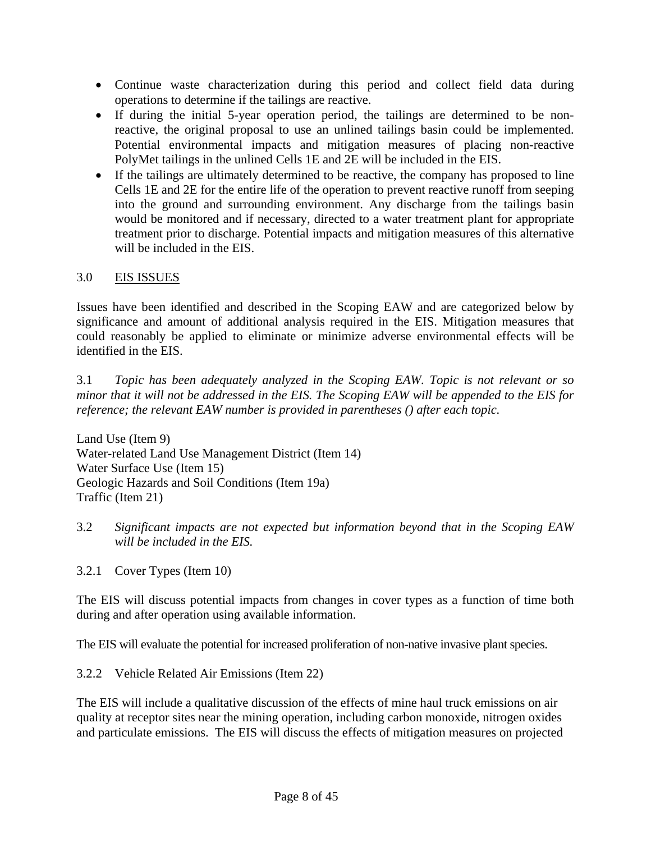- Continue waste characterization during this period and collect field data during operations to determine if the tailings are reactive.
- If during the initial 5-year operation period, the tailings are determined to be nonreactive, the original proposal to use an unlined tailings basin could be implemented. Potential environmental impacts and mitigation measures of placing non-reactive PolyMet tailings in the unlined Cells 1E and 2E will be included in the EIS.
- If the tailings are ultimately determined to be reactive, the company has proposed to line Cells 1E and 2E for the entire life of the operation to prevent reactive runoff from seeping into the ground and surrounding environment. Any discharge from the tailings basin would be monitored and if necessary, directed to a water treatment plant for appropriate treatment prior to discharge. Potential impacts and mitigation measures of this alternative will be included in the EIS.

## 3.0 EIS ISSUES

Issues have been identified and described in the Scoping EAW and are categorized below by significance and amount of additional analysis required in the EIS. Mitigation measures that could reasonably be applied to eliminate or minimize adverse environmental effects will be identified in the EIS.

3.1 *Topic has been adequately analyzed in the Scoping EAW. Topic is not relevant or so minor that it will not be addressed in the EIS. The Scoping EAW will be appended to the EIS for reference; the relevant EAW number is provided in parentheses () after each topic.* 

Land Use (Item 9) Water-related Land Use Management District (Item 14) Water Surface Use (Item 15) Geologic Hazards and Soil Conditions (Item 19a) Traffic (Item 21)

- 3.2 *Significant impacts are not expected but information beyond that in the Scoping EAW will be included in the EIS.*
- 3.2.1 Cover Types (Item 10)

The EIS will discuss potential impacts from changes in cover types as a function of time both during and after operation using available information.

The EIS will evaluate the potential for increased proliferation of non-native invasive plant species.

### 3.2.2 Vehicle Related Air Emissions (Item 22)

The EIS will include a qualitative discussion of the effects of mine haul truck emissions on air quality at receptor sites near the mining operation, including carbon monoxide, nitrogen oxides and particulate emissions. The EIS will discuss the effects of mitigation measures on projected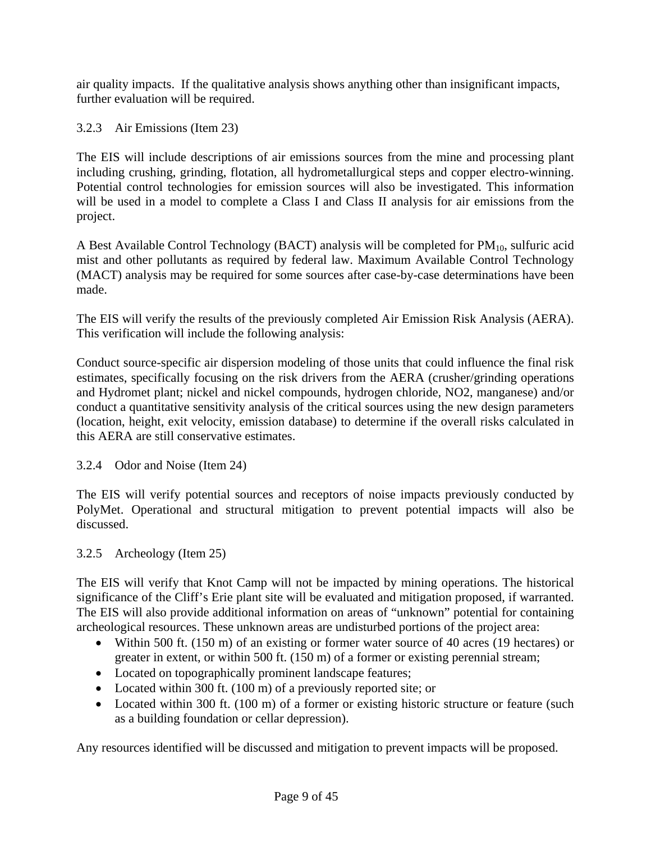air quality impacts. If the qualitative analysis shows anything other than insignificant impacts, further evaluation will be required.

3.2.3 Air Emissions (Item 23)

The EIS will include descriptions of air emissions sources from the mine and processing plant including crushing, grinding, flotation, all hydrometallurgical steps and copper electro-winning. Potential control technologies for emission sources will also be investigated. This information will be used in a model to complete a Class I and Class II analysis for air emissions from the project.

A Best Available Control Technology (BACT) analysis will be completed for  $PM_{10}$ , sulfuric acid mist and other pollutants as required by federal law. Maximum Available Control Technology (MACT) analysis may be required for some sources after case-by-case determinations have been made.

The EIS will verify the results of the previously completed Air Emission Risk Analysis (AERA). This verification will include the following analysis:

Conduct source-specific air dispersion modeling of those units that could influence the final risk estimates, specifically focusing on the risk drivers from the AERA (crusher/grinding operations and Hydromet plant; nickel and nickel compounds, hydrogen chloride, NO2, manganese) and/or conduct a quantitative sensitivity analysis of the critical sources using the new design parameters (location, height, exit velocity, emission database) to determine if the overall risks calculated in this AERA are still conservative estimates.

3.2.4 Odor and Noise (Item 24)

The EIS will verify potential sources and receptors of noise impacts previously conducted by PolyMet. Operational and structural mitigation to prevent potential impacts will also be discussed.

### 3.2.5 Archeology (Item 25)

The EIS will verify that Knot Camp will not be impacted by mining operations. The historical significance of the Cliff's Erie plant site will be evaluated and mitigation proposed, if warranted. The EIS will also provide additional information on areas of "unknown" potential for containing archeological resources. These unknown areas are undisturbed portions of the project area:

- Within 500 ft. (150 m) of an existing or former water source of 40 acres (19 hectares) or greater in extent, or within 500 ft. (150 m) of a former or existing perennial stream;
- Located on topographically prominent landscape features;
- Located within 300 ft. (100 m) of a previously reported site; or
- Located within 300 ft. (100 m) of a former or existing historic structure or feature (such as a building foundation or cellar depression).

Any resources identified will be discussed and mitigation to prevent impacts will be proposed.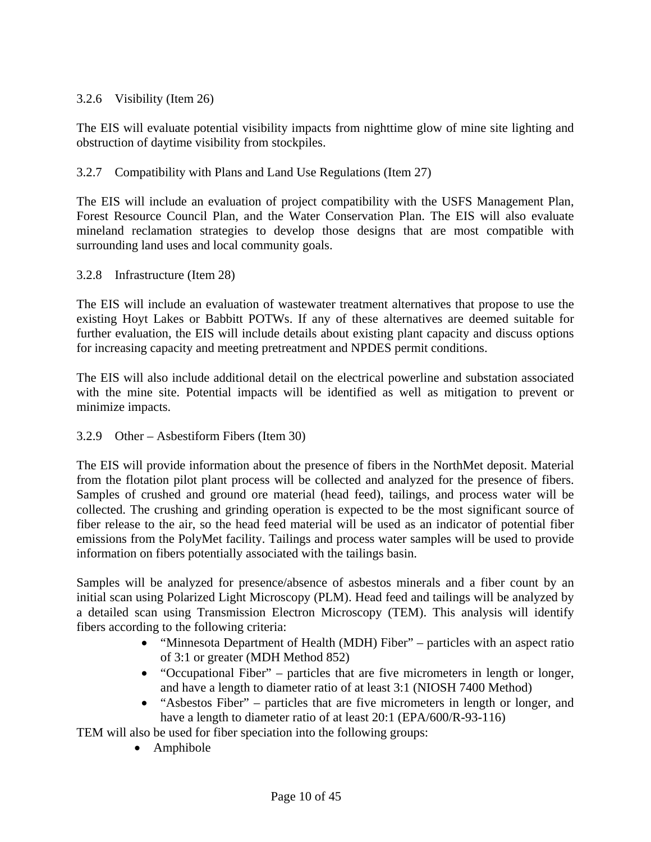### 3.2.6 Visibility (Item 26)

The EIS will evaluate potential visibility impacts from nighttime glow of mine site lighting and obstruction of daytime visibility from stockpiles.

### 3.2.7 Compatibility with Plans and Land Use Regulations (Item 27)

The EIS will include an evaluation of project compatibility with the USFS Management Plan, Forest Resource Council Plan, and the Water Conservation Plan. The EIS will also evaluate mineland reclamation strategies to develop those designs that are most compatible with surrounding land uses and local community goals.

3.2.8 Infrastructure (Item 28)

The EIS will include an evaluation of wastewater treatment alternatives that propose to use the existing Hoyt Lakes or Babbitt POTWs. If any of these alternatives are deemed suitable for further evaluation, the EIS will include details about existing plant capacity and discuss options for increasing capacity and meeting pretreatment and NPDES permit conditions.

The EIS will also include additional detail on the electrical powerline and substation associated with the mine site. Potential impacts will be identified as well as mitigation to prevent or minimize impacts.

### 3.2.9 Other – Asbestiform Fibers (Item 30)

The EIS will provide information about the presence of fibers in the NorthMet deposit. Material from the flotation pilot plant process will be collected and analyzed for the presence of fibers. Samples of crushed and ground ore material (head feed), tailings, and process water will be collected. The crushing and grinding operation is expected to be the most significant source of fiber release to the air, so the head feed material will be used as an indicator of potential fiber emissions from the PolyMet facility. Tailings and process water samples will be used to provide information on fibers potentially associated with the tailings basin.

Samples will be analyzed for presence/absence of asbestos minerals and a fiber count by an initial scan using Polarized Light Microscopy (PLM). Head feed and tailings will be analyzed by a detailed scan using Transmission Electron Microscopy (TEM). This analysis will identify fibers according to the following criteria:

- "Minnesota Department of Health (MDH) Fiber" particles with an aspect ratio of 3:1 or greater (MDH Method 852)
- "Occupational Fiber" particles that are five micrometers in length or longer, and have a length to diameter ratio of at least 3:1 (NIOSH 7400 Method)
- "Asbestos Fiber" particles that are five micrometers in length or longer, and have a length to diameter ratio of at least 20:1 (EPA/600/R-93-116)

TEM will also be used for fiber speciation into the following groups:

• Amphibole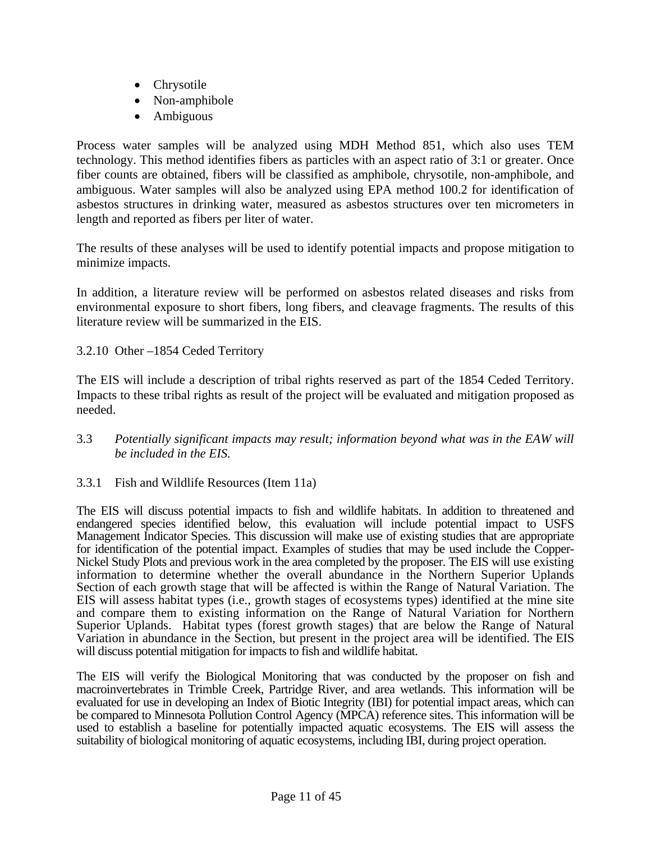- Chrysotile
- Non-amphibole
- Ambiguous

Process water samples will be analyzed using MDH Method 851, which also uses TEM technology. This method identifies fibers as particles with an aspect ratio of 3:1 or greater. Once fiber counts are obtained, fibers will be classified as amphibole, chrysotile, non-amphibole, and ambiguous. Water samples will also be analyzed using EPA method 100.2 for identification of asbestos structures in drinking water, measured as asbestos structures over ten micrometers in length and reported as fibers per liter of water.

The results of these analyses will be used to identify potential impacts and propose mitigation to minimize impacts.

In addition, a literature review will be performed on asbestos related diseases and risks from environmental exposure to short fibers, long fibers, and cleavage fragments. The results of this literature review will be summarized in the EIS.

#### 3.2.10 Other –1854 Ceded Territory

The EIS will include a description of tribal rights reserved as part of the 1854 Ceded Territory. Impacts to these tribal rights as result of the project will be evaluated and mitigation proposed as needed.

3.3 *Potentially significant impacts may result; information beyond what was in the EAW will be included in the EIS.* 

#### 3.3.1 Fish and Wildlife Resources (Item 11a)

The EIS will discuss potential impacts to fish and wildlife habitats. In addition to threatened and endangered species identified below, this evaluation will include potential impact to USFS Management Indicator Species. This discussion will make use of existing studies that are appropriate for identification of the potential impact. Examples of studies that may be used include the Copper-Nickel Study Plots and previous work in the area completed by the proposer. The EIS will use existing information to determine whether the overall abundance in the Northern Superior Uplands Section of each growth stage that will be affected is within the Range of Natural Variation. The EIS will assess habitat types (i.e., growth stages of ecosystems types) identified at the mine site and compare them to existing information on the Range of Natural Variation for Northern Superior Uplands. Habitat types (forest growth stages) that are below the Range of Natural Variation in abundance in the Section, but present in the project area will be identified. The EIS will discuss potential mitigation for impacts to fish and wildlife habitat.

The EIS will verify the Biological Monitoring that was conducted by the proposer on fish and macroinvertebrates in Trimble Creek, Partridge River, and area wetlands. This information will be evaluated for use in developing an Index of Biotic Integrity (IBI) for potential impact areas, which can be compared to Minnesota Pollution Control Agency (MPCA) reference sites. This information will be used to establish a baseline for potentially impacted aquatic ecosystems. The EIS will assess the suitability of biological monitoring of aquatic ecosystems, including IBI, during project operation.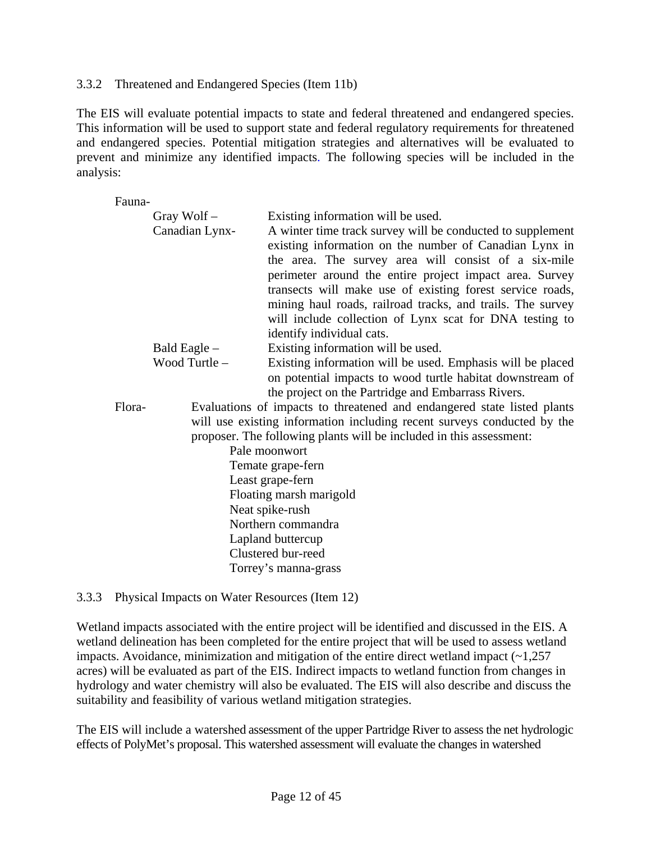#### 3.3.2 Threatened and Endangered Species (Item 11b)

The EIS will evaluate potential impacts to state and federal threatened and endangered species. This information will be used to support state and federal regulatory requirements for threatened and endangered species. Potential mitigation strategies and alternatives will be evaluated to prevent and minimize any identified impacts. The following species will be included in the analysis:

Fauna-

|        | Gray Wolf $-$<br>Canadian Lynx-                                                                                                                                                                                                                                                                                                   | Existing information will be used.<br>A winter time track survey will be conducted to supplement<br>existing information on the number of Canadian Lynx in<br>the area. The survey area will consist of a six-mile<br>perimeter around the entire project impact area. Survey<br>transects will make use of existing forest service roads,<br>mining haul roads, railroad tracks, and trails. The survey<br>will include collection of Lynx scat for DNA testing to<br>identify individual cats. |  |
|--------|-----------------------------------------------------------------------------------------------------------------------------------------------------------------------------------------------------------------------------------------------------------------------------------------------------------------------------------|--------------------------------------------------------------------------------------------------------------------------------------------------------------------------------------------------------------------------------------------------------------------------------------------------------------------------------------------------------------------------------------------------------------------------------------------------------------------------------------------------|--|
|        | Bald Eagle –                                                                                                                                                                                                                                                                                                                      | Existing information will be used.                                                                                                                                                                                                                                                                                                                                                                                                                                                               |  |
|        | Wood Turtle-                                                                                                                                                                                                                                                                                                                      | Existing information will be used. Emphasis will be placed<br>on potential impacts to wood turtle habitat downstream of<br>the project on the Partridge and Embarrass Rivers.                                                                                                                                                                                                                                                                                                                    |  |
| Flora- | Evaluations of impacts to threatened and endangered state listed plants<br>will use existing information including recent surveys conducted by the<br>proposer. The following plants will be included in this assessment:<br>Pale moonwort<br>Temate grape-fern<br>Least grape-fern<br>Floating marsh marigold<br>Neat spike-rush |                                                                                                                                                                                                                                                                                                                                                                                                                                                                                                  |  |
|        |                                                                                                                                                                                                                                                                                                                                   | Northern commandra<br>Lapland buttercup<br>Clustered bur-reed<br>Torrey's manna-grass                                                                                                                                                                                                                                                                                                                                                                                                            |  |

#### 3.3.3 Physical Impacts on Water Resources (Item 12)

Wetland impacts associated with the entire project will be identified and discussed in the EIS. A wetland delineation has been completed for the entire project that will be used to assess wetland impacts. Avoidance, minimization and mitigation of the entire direct wetland impact  $(\sim 1,257)$ acres) will be evaluated as part of the EIS. Indirect impacts to wetland function from changes in hydrology and water chemistry will also be evaluated. The EIS will also describe and discuss the suitability and feasibility of various wetland mitigation strategies.

The EIS will include a watershed assessment of the upper Partridge River to assess the net hydrologic effects of PolyMet's proposal. This watershed assessment will evaluate the changes in watershed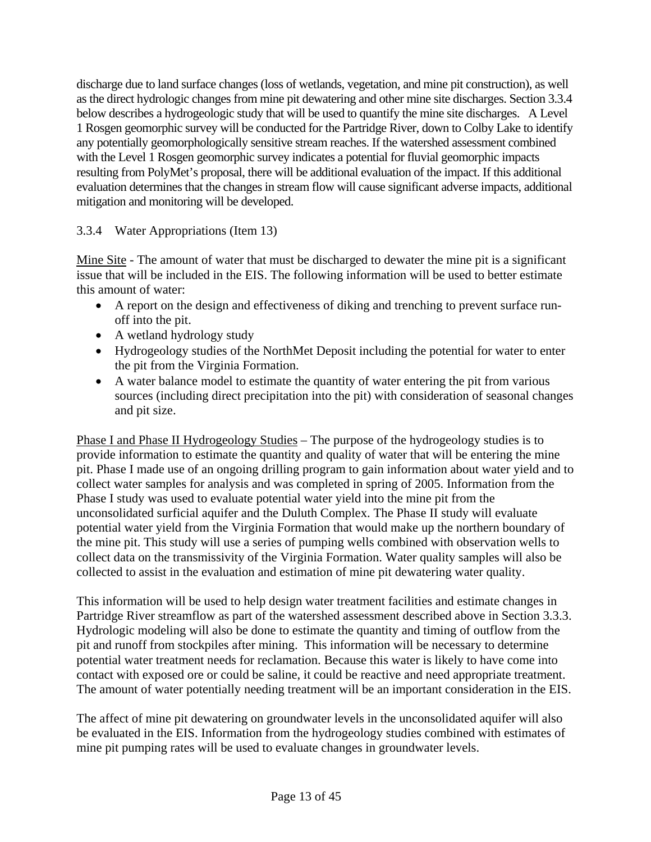discharge due to land surface changes (loss of wetlands, vegetation, and mine pit construction), as well as the direct hydrologic changes from mine pit dewatering and other mine site discharges. Section 3.3.4 below describes a hydrogeologic study that will be used to quantify the mine site discharges. A Level 1 Rosgen geomorphic survey will be conducted for the Partridge River, down to Colby Lake to identify any potentially geomorphologically sensitive stream reaches. If the watershed assessment combined with the Level 1 Rosgen geomorphic survey indicates a potential for fluvial geomorphic impacts resulting from PolyMet's proposal, there will be additional evaluation of the impact. If this additional evaluation determines that the changes in stream flow will cause significant adverse impacts, additional mitigation and monitoring will be developed.

## 3.3.4 Water Appropriations (Item 13)

Mine Site - The amount of water that must be discharged to dewater the mine pit is a significant issue that will be included in the EIS. The following information will be used to better estimate this amount of water:

- A report on the design and effectiveness of diking and trenching to prevent surface runoff into the pit.
- A wetland hydrology study
- Hydrogeology studies of the NorthMet Deposit including the potential for water to enter the pit from the Virginia Formation.
- A water balance model to estimate the quantity of water entering the pit from various sources (including direct precipitation into the pit) with consideration of seasonal changes and pit size.

Phase I and Phase II Hydrogeology Studies – The purpose of the hydrogeology studies is to provide information to estimate the quantity and quality of water that will be entering the mine pit. Phase I made use of an ongoing drilling program to gain information about water yield and to collect water samples for analysis and was completed in spring of 2005. Information from the Phase I study was used to evaluate potential water yield into the mine pit from the unconsolidated surficial aquifer and the Duluth Complex. The Phase II study will evaluate potential water yield from the Virginia Formation that would make up the northern boundary of the mine pit. This study will use a series of pumping wells combined with observation wells to collect data on the transmissivity of the Virginia Formation. Water quality samples will also be collected to assist in the evaluation and estimation of mine pit dewatering water quality.

This information will be used to help design water treatment facilities and estimate changes in Partridge River streamflow as part of the watershed assessment described above in Section 3.3.3. Hydrologic modeling will also be done to estimate the quantity and timing of outflow from the pit and runoff from stockpiles after mining. This information will be necessary to determine potential water treatment needs for reclamation. Because this water is likely to have come into contact with exposed ore or could be saline, it could be reactive and need appropriate treatment. The amount of water potentially needing treatment will be an important consideration in the EIS.

The affect of mine pit dewatering on groundwater levels in the unconsolidated aquifer will also be evaluated in the EIS. Information from the hydrogeology studies combined with estimates of mine pit pumping rates will be used to evaluate changes in groundwater levels.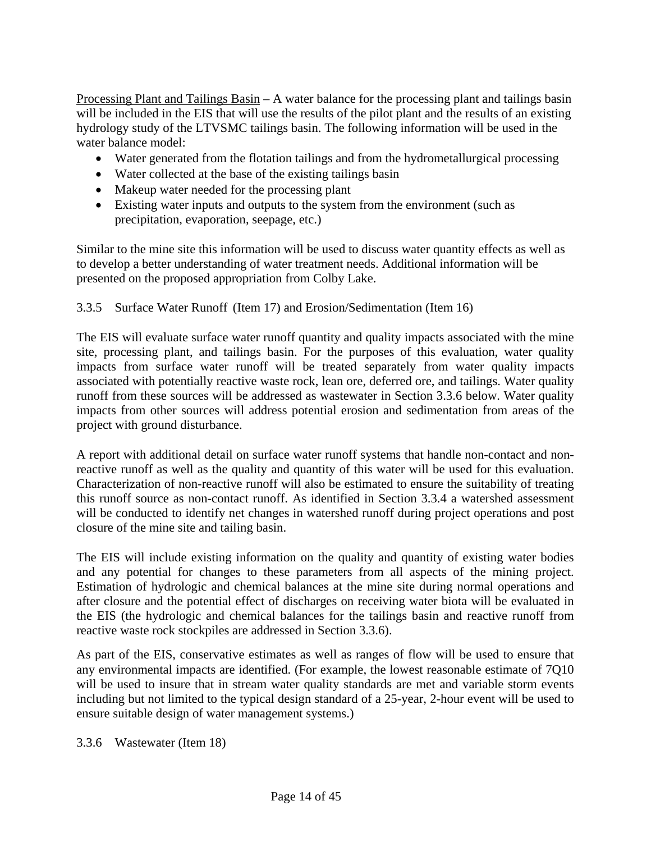Processing Plant and Tailings Basin – A water balance for the processing plant and tailings basin will be included in the EIS that will use the results of the pilot plant and the results of an existing hydrology study of the LTVSMC tailings basin. The following information will be used in the water balance model:

- Water generated from the flotation tailings and from the hydrometallurgical processing
- Water collected at the base of the existing tailings basin
- Makeup water needed for the processing plant
- Existing water inputs and outputs to the system from the environment (such as precipitation, evaporation, seepage, etc.)

Similar to the mine site this information will be used to discuss water quantity effects as well as to develop a better understanding of water treatment needs. Additional information will be presented on the proposed appropriation from Colby Lake.

### 3.3.5 Surface Water Runoff (Item 17) and Erosion/Sedimentation (Item 16)

The EIS will evaluate surface water runoff quantity and quality impacts associated with the mine site, processing plant, and tailings basin. For the purposes of this evaluation, water quality impacts from surface water runoff will be treated separately from water quality impacts associated with potentially reactive waste rock, lean ore, deferred ore, and tailings. Water quality runoff from these sources will be addressed as wastewater in Section 3.3.6 below. Water quality impacts from other sources will address potential erosion and sedimentation from areas of the project with ground disturbance.

A report with additional detail on surface water runoff systems that handle non-contact and nonreactive runoff as well as the quality and quantity of this water will be used for this evaluation. Characterization of non-reactive runoff will also be estimated to ensure the suitability of treating this runoff source as non-contact runoff. As identified in Section 3.3.4 a watershed assessment will be conducted to identify net changes in watershed runoff during project operations and post closure of the mine site and tailing basin.

The EIS will include existing information on the quality and quantity of existing water bodies and any potential for changes to these parameters from all aspects of the mining project. Estimation of hydrologic and chemical balances at the mine site during normal operations and after closure and the potential effect of discharges on receiving water biota will be evaluated in the EIS (the hydrologic and chemical balances for the tailings basin and reactive runoff from reactive waste rock stockpiles are addressed in Section 3.3.6).

As part of the EIS, conservative estimates as well as ranges of flow will be used to ensure that any environmental impacts are identified. (For example, the lowest reasonable estimate of 7Q10 will be used to insure that in stream water quality standards are met and variable storm events including but not limited to the typical design standard of a 25-year, 2-hour event will be used to ensure suitable design of water management systems.)

3.3.6 Wastewater (Item 18)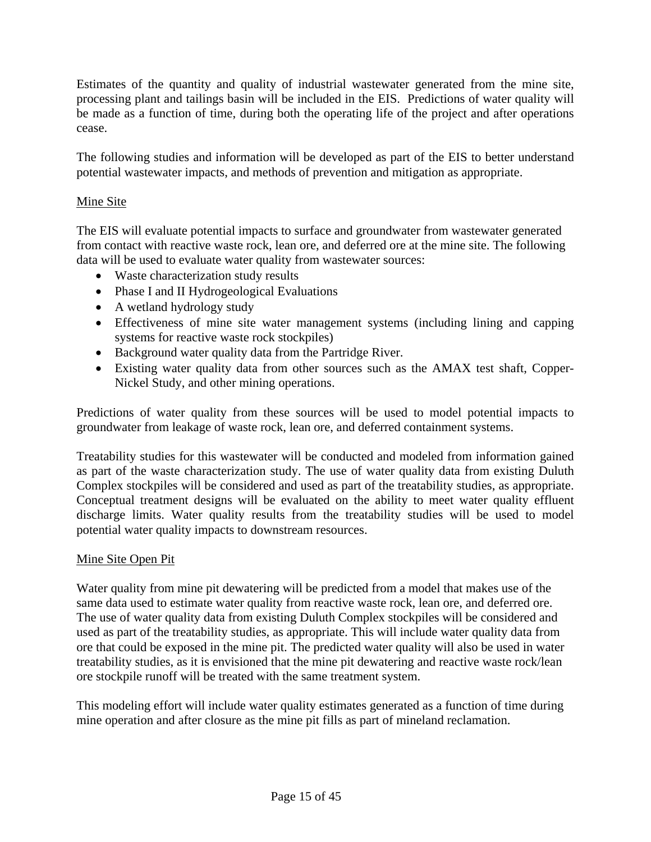Estimates of the quantity and quality of industrial wastewater generated from the mine site, processing plant and tailings basin will be included in the EIS. Predictions of water quality will be made as a function of time, during both the operating life of the project and after operations cease.

The following studies and information will be developed as part of the EIS to better understand potential wastewater impacts, and methods of prevention and mitigation as appropriate.

### Mine Site

The EIS will evaluate potential impacts to surface and groundwater from wastewater generated from contact with reactive waste rock, lean ore, and deferred ore at the mine site. The following data will be used to evaluate water quality from wastewater sources:

- Waste characterization study results
- Phase I and II Hydrogeological Evaluations
- A wetland hydrology study
- Effectiveness of mine site water management systems (including lining and capping systems for reactive waste rock stockpiles)
- Background water quality data from the Partridge River.
- Existing water quality data from other sources such as the AMAX test shaft, Copper-Nickel Study, and other mining operations.

Predictions of water quality from these sources will be used to model potential impacts to groundwater from leakage of waste rock, lean ore, and deferred containment systems.

Treatability studies for this wastewater will be conducted and modeled from information gained as part of the waste characterization study. The use of water quality data from existing Duluth Complex stockpiles will be considered and used as part of the treatability studies, as appropriate. Conceptual treatment designs will be evaluated on the ability to meet water quality effluent discharge limits. Water quality results from the treatability studies will be used to model potential water quality impacts to downstream resources.

### Mine Site Open Pit

Water quality from mine pit dewatering will be predicted from a model that makes use of the same data used to estimate water quality from reactive waste rock, lean ore, and deferred ore. The use of water quality data from existing Duluth Complex stockpiles will be considered and used as part of the treatability studies, as appropriate. This will include water quality data from ore that could be exposed in the mine pit. The predicted water quality will also be used in water treatability studies, as it is envisioned that the mine pit dewatering and reactive waste rock/lean ore stockpile runoff will be treated with the same treatment system.

This modeling effort will include water quality estimates generated as a function of time during mine operation and after closure as the mine pit fills as part of mineland reclamation.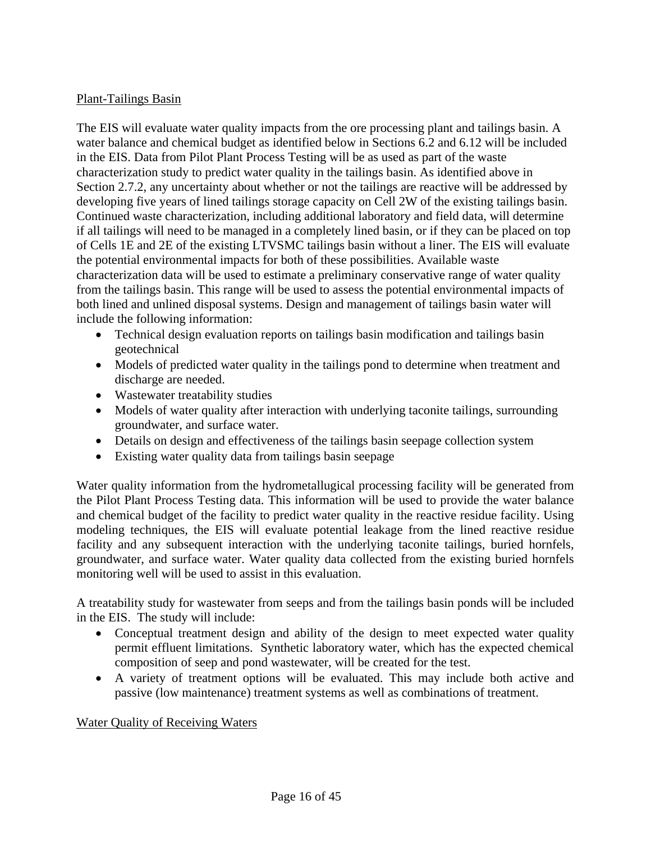### Plant-Tailings Basin

The EIS will evaluate water quality impacts from the ore processing plant and tailings basin. A water balance and chemical budget as identified below in Sections 6.2 and 6.12 will be included in the EIS. Data from Pilot Plant Process Testing will be as used as part of the waste characterization study to predict water quality in the tailings basin. As identified above in Section 2.7.2, any uncertainty about whether or not the tailings are reactive will be addressed by developing five years of lined tailings storage capacity on Cell 2W of the existing tailings basin. Continued waste characterization, including additional laboratory and field data, will determine if all tailings will need to be managed in a completely lined basin, or if they can be placed on top of Cells 1E and 2E of the existing LTVSMC tailings basin without a liner. The EIS will evaluate the potential environmental impacts for both of these possibilities. Available waste characterization data will be used to estimate a preliminary conservative range of water quality from the tailings basin. This range will be used to assess the potential environmental impacts of both lined and unlined disposal systems. Design and management of tailings basin water will include the following information:

- Technical design evaluation reports on tailings basin modification and tailings basin geotechnical
- Models of predicted water quality in the tailings pond to determine when treatment and discharge are needed.
- Wastewater treatability studies
- Models of water quality after interaction with underlying taconite tailings, surrounding groundwater, and surface water.
- Details on design and effectiveness of the tailings basin seepage collection system
- Existing water quality data from tailings basin seepage

Water quality information from the hydrometallugical processing facility will be generated from the Pilot Plant Process Testing data. This information will be used to provide the water balance and chemical budget of the facility to predict water quality in the reactive residue facility. Using modeling techniques, the EIS will evaluate potential leakage from the lined reactive residue facility and any subsequent interaction with the underlying taconite tailings, buried hornfels, groundwater, and surface water. Water quality data collected from the existing buried hornfels monitoring well will be used to assist in this evaluation.

A treatability study for wastewater from seeps and from the tailings basin ponds will be included in the EIS. The study will include:

- Conceptual treatment design and ability of the design to meet expected water quality permit effluent limitations. Synthetic laboratory water, which has the expected chemical composition of seep and pond wastewater, will be created for the test.
- A variety of treatment options will be evaluated. This may include both active and passive (low maintenance) treatment systems as well as combinations of treatment.

### Water Quality of Receiving Waters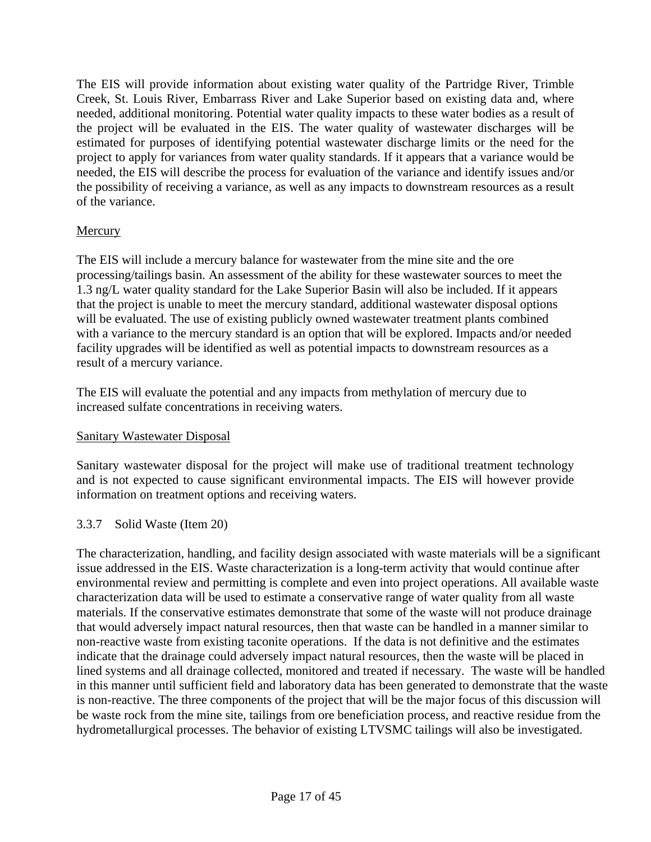The EIS will provide information about existing water quality of the Partridge River, Trimble Creek, St. Louis River, Embarrass River and Lake Superior based on existing data and, where needed, additional monitoring. Potential water quality impacts to these water bodies as a result of the project will be evaluated in the EIS. The water quality of wastewater discharges will be estimated for purposes of identifying potential wastewater discharge limits or the need for the project to apply for variances from water quality standards. If it appears that a variance would be needed, the EIS will describe the process for evaluation of the variance and identify issues and/or the possibility of receiving a variance, as well as any impacts to downstream resources as a result of the variance.

### **Mercury**

The EIS will include a mercury balance for wastewater from the mine site and the ore processing/tailings basin. An assessment of the ability for these wastewater sources to meet the 1.3 ng/L water quality standard for the Lake Superior Basin will also be included. If it appears that the project is unable to meet the mercury standard, additional wastewater disposal options will be evaluated. The use of existing publicly owned wastewater treatment plants combined with a variance to the mercury standard is an option that will be explored. Impacts and/or needed facility upgrades will be identified as well as potential impacts to downstream resources as a result of a mercury variance.

The EIS will evaluate the potential and any impacts from methylation of mercury due to increased sulfate concentrations in receiving waters.

## Sanitary Wastewater Disposal

Sanitary wastewater disposal for the project will make use of traditional treatment technology and is not expected to cause significant environmental impacts. The EIS will however provide information on treatment options and receiving waters.

### 3.3.7 Solid Waste (Item 20)

The characterization, handling, and facility design associated with waste materials will be a significant issue addressed in the EIS. Waste characterization is a long-term activity that would continue after environmental review and permitting is complete and even into project operations. All available waste characterization data will be used to estimate a conservative range of water quality from all waste materials. If the conservative estimates demonstrate that some of the waste will not produce drainage that would adversely impact natural resources, then that waste can be handled in a manner similar to non-reactive waste from existing taconite operations. If the data is not definitive and the estimates indicate that the drainage could adversely impact natural resources, then the waste will be placed in lined systems and all drainage collected, monitored and treated if necessary. The waste will be handled in this manner until sufficient field and laboratory data has been generated to demonstrate that the waste is non-reactive. The three components of the project that will be the major focus of this discussion will be waste rock from the mine site, tailings from ore beneficiation process, and reactive residue from the hydrometallurgical processes. The behavior of existing LTVSMC tailings will also be investigated.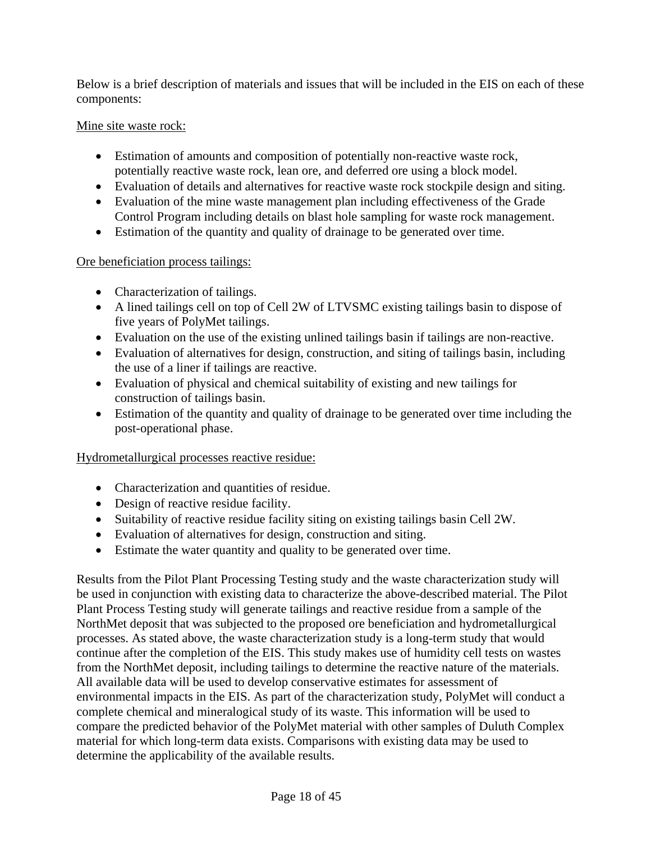Below is a brief description of materials and issues that will be included in the EIS on each of these components:

### Mine site waste rock:

- Estimation of amounts and composition of potentially non-reactive waste rock, potentially reactive waste rock, lean ore, and deferred ore using a block model.
- Evaluation of details and alternatives for reactive waste rock stockpile design and siting.
- Evaluation of the mine waste management plan including effectiveness of the Grade Control Program including details on blast hole sampling for waste rock management.
- Estimation of the quantity and quality of drainage to be generated over time.

## Ore beneficiation process tailings:

- Characterization of tailings.
- A lined tailings cell on top of Cell 2W of LTVSMC existing tailings basin to dispose of five years of PolyMet tailings.
- Evaluation on the use of the existing unlined tailings basin if tailings are non-reactive.
- Evaluation of alternatives for design, construction, and siting of tailings basin, including the use of a liner if tailings are reactive.
- Evaluation of physical and chemical suitability of existing and new tailings for construction of tailings basin.
- Estimation of the quantity and quality of drainage to be generated over time including the post-operational phase.

## Hydrometallurgical processes reactive residue:

- Characterization and quantities of residue.
- Design of reactive residue facility.
- Suitability of reactive residue facility siting on existing tailings basin Cell 2W.
- Evaluation of alternatives for design, construction and siting.
- Estimate the water quantity and quality to be generated over time.

Results from the Pilot Plant Processing Testing study and the waste characterization study will be used in conjunction with existing data to characterize the above-described material. The Pilot Plant Process Testing study will generate tailings and reactive residue from a sample of the NorthMet deposit that was subjected to the proposed ore beneficiation and hydrometallurgical processes. As stated above, the waste characterization study is a long-term study that would continue after the completion of the EIS. This study makes use of humidity cell tests on wastes from the NorthMet deposit, including tailings to determine the reactive nature of the materials. All available data will be used to develop conservative estimates for assessment of environmental impacts in the EIS. As part of the characterization study, PolyMet will conduct a complete chemical and mineralogical study of its waste. This information will be used to compare the predicted behavior of the PolyMet material with other samples of Duluth Complex material for which long-term data exists. Comparisons with existing data may be used to determine the applicability of the available results.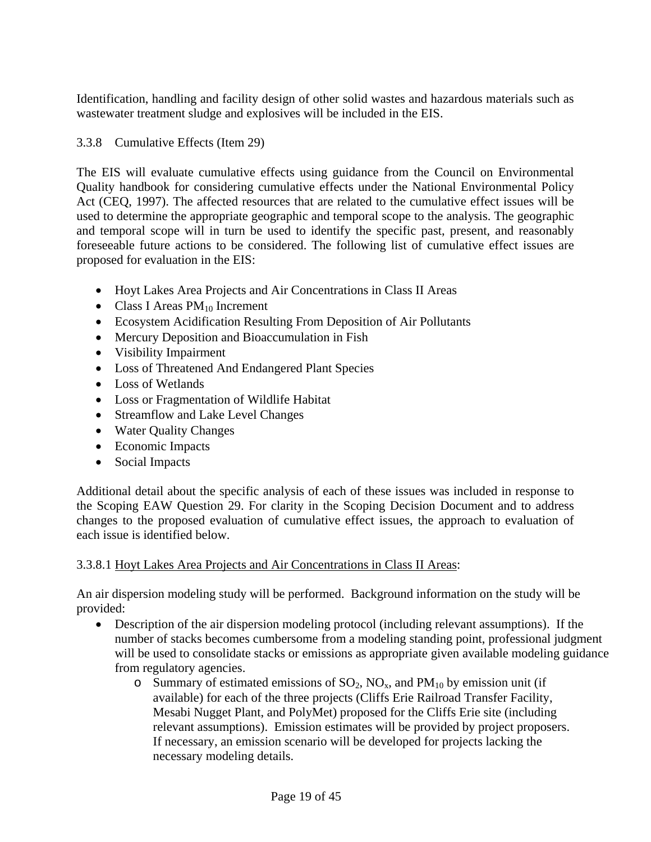Identification, handling and facility design of other solid wastes and hazardous materials such as wastewater treatment sludge and explosives will be included in the EIS.

### 3.3.8 Cumulative Effects (Item 29)

The EIS will evaluate cumulative effects using guidance from the Council on Environmental Quality handbook for considering cumulative effects under the National Environmental Policy Act (CEQ, 1997). The affected resources that are related to the cumulative effect issues will be used to determine the appropriate geographic and temporal scope to the analysis. The geographic and temporal scope will in turn be used to identify the specific past, present, and reasonably foreseeable future actions to be considered. The following list of cumulative effect issues are proposed for evaluation in the EIS:

- Hoyt Lakes Area Projects and Air Concentrations in Class II Areas
- Class I Areas  $PM_{10}$  Increment
- Ecosystem Acidification Resulting From Deposition of Air Pollutants
- Mercury Deposition and Bioaccumulation in Fish
- Visibility Impairment
- Loss of Threatened And Endangered Plant Species
- Loss of Wetlands
- Loss or Fragmentation of Wildlife Habitat
- Streamflow and Lake Level Changes
- Water Quality Changes
- Economic Impacts
- Social Impacts

Additional detail about the specific analysis of each of these issues was included in response to the Scoping EAW Question 29. For clarity in the Scoping Decision Document and to address changes to the proposed evaluation of cumulative effect issues, the approach to evaluation of each issue is identified below.

### 3.3.8.1 Hoyt Lakes Area Projects and Air Concentrations in Class II Areas:

An air dispersion modeling study will be performed. Background information on the study will be provided:

- Description of the air dispersion modeling protocol (including relevant assumptions). If the number of stacks becomes cumbersome from a modeling standing point, professional judgment will be used to consolidate stacks or emissions as appropriate given available modeling guidance from regulatory agencies.
	- o Summary of estimated emissions of  $SO_2$ ,  $NO_x$ , and  $PM_{10}$  by emission unit (if available) for each of the three projects (Cliffs Erie Railroad Transfer Facility, Mesabi Nugget Plant, and PolyMet) proposed for the Cliffs Erie site (including relevant assumptions). Emission estimates will be provided by project proposers. If necessary, an emission scenario will be developed for projects lacking the necessary modeling details.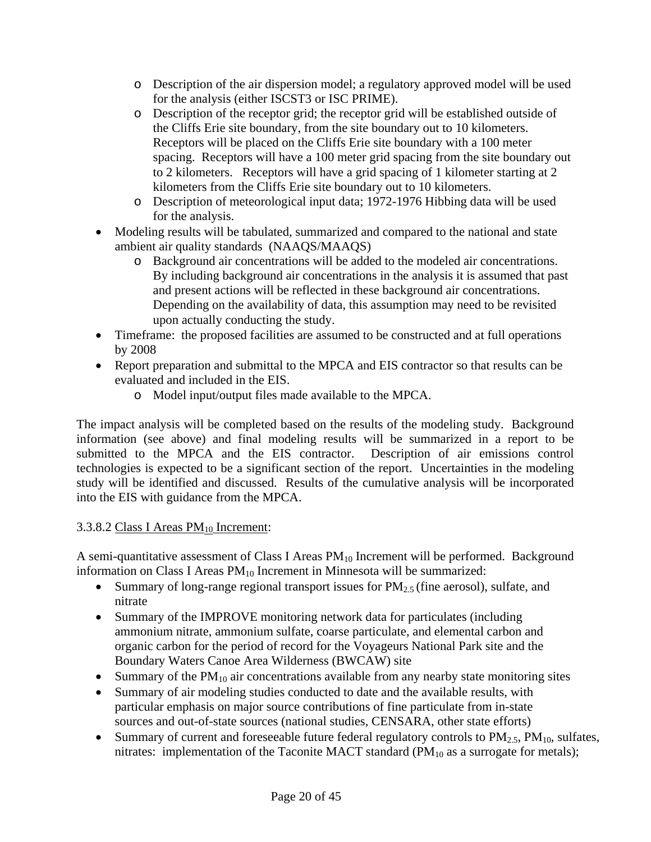- o Description of the air dispersion model; a regulatory approved model will be used for the analysis (either ISCST3 or ISC PRIME).
- o Description of the receptor grid; the receptor grid will be established outside of the Cliffs Erie site boundary, from the site boundary out to 10 kilometers. Receptors will be placed on the Cliffs Erie site boundary with a 100 meter spacing. Receptors will have a 100 meter grid spacing from the site boundary out to 2 kilometers. Receptors will have a grid spacing of 1 kilometer starting at 2 kilometers from the Cliffs Erie site boundary out to 10 kilometers.
- o Description of meteorological input data; 1972-1976 Hibbing data will be used for the analysis.
- Modeling results will be tabulated, summarized and compared to the national and state ambient air quality standards (NAAQS/MAAQS)
	- o Background air concentrations will be added to the modeled air concentrations. By including background air concentrations in the analysis it is assumed that past and present actions will be reflected in these background air concentrations. Depending on the availability of data, this assumption may need to be revisited upon actually conducting the study.
- Timeframe: the proposed facilities are assumed to be constructed and at full operations by 2008
- Report preparation and submittal to the MPCA and EIS contractor so that results can be evaluated and included in the EIS.
	- o Model input/output files made available to the MPCA.

The impact analysis will be completed based on the results of the modeling study. Background information (see above) and final modeling results will be summarized in a report to be submitted to the MPCA and the EIS contractor. Description of air emissions control technologies is expected to be a significant section of the report. Uncertainties in the modeling study will be identified and discussed. Results of the cumulative analysis will be incorporated into the EIS with guidance from the MPCA.

## 3.3.8.2 Class I Areas  $PM_{10}$  Increment:

A semi-quantitative assessment of Class I Areas  $PM_{10}$  Increment will be performed. Background information on Class I Areas  $PM_{10}$  Increment in Minnesota will be summarized:

- Summary of long-range regional transport issues for  $PM_{2.5}$  (fine aerosol), sulfate, and nitrate
- Summary of the IMPROVE monitoring network data for particulates (including ammonium nitrate, ammonium sulfate, coarse particulate, and elemental carbon and organic carbon for the period of record for the Voyageurs National Park site and the Boundary Waters Canoe Area Wilderness (BWCAW) site
- Summary of the  $PM_{10}$  air concentrations available from any nearby state monitoring sites
- Summary of air modeling studies conducted to date and the available results, with particular emphasis on major source contributions of fine particulate from in-state sources and out-of-state sources (national studies, CENSARA, other state efforts)
- Summary of current and foreseeable future federal regulatory controls to  $PM_{2.5}$ ,  $PM_{10}$ , sulfates, nitrates: implementation of the Taconite MACT standard  $(PM_{10}$  as a surrogate for metals);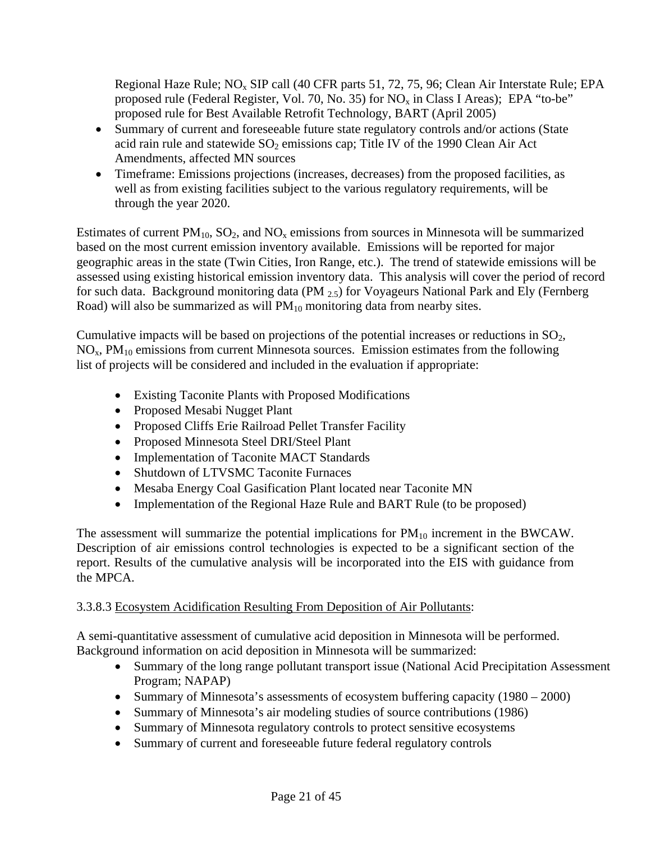Regional Haze Rule;  $NO<sub>x</sub>$  SIP call (40 CFR parts 51, 72, 75, 96; Clean Air Interstate Rule; EPA proposed rule (Federal Register, Vol. 70, No. 35) for  $NO<sub>x</sub>$  in Class I Areas); EPA "to-be" proposed rule for Best Available Retrofit Technology, BART (April 2005)

- Summary of current and foreseeable future state regulatory controls and/or actions (State acid rain rule and statewide  $SO_2$  emissions cap; Title IV of the 1990 Clean Air Act Amendments, affected MN sources
- Timeframe: Emissions projections (increases, decreases) from the proposed facilities, as well as from existing facilities subject to the various regulatory requirements, will be through the year 2020.

Estimates of current  $PM_{10}$ ,  $SO_2$ , and  $NO_x$  emissions from sources in Minnesota will be summarized based on the most current emission inventory available. Emissions will be reported for major geographic areas in the state (Twin Cities, Iron Range, etc.). The trend of statewide emissions will be assessed using existing historical emission inventory data. This analysis will cover the period of record for such data. Background monitoring data (PM 2.5) for Voyageurs National Park and Ely (Fernberg Road) will also be summarized as will  $PM_{10}$  monitoring data from nearby sites.

Cumulative impacts will be based on projections of the potential increases or reductions in  $SO<sub>2</sub>$ ,  $NO<sub>x</sub>$ ,  $PM<sub>10</sub>$  emissions from current Minnesota sources. Emission estimates from the following list of projects will be considered and included in the evaluation if appropriate:

- Existing Taconite Plants with Proposed Modifications
- Proposed Mesabi Nugget Plant
- Proposed Cliffs Erie Railroad Pellet Transfer Facility
- Proposed Minnesota Steel DRI/Steel Plant
- Implementation of Taconite MACT Standards
- Shutdown of LTVSMC Taconite Furnaces
- Mesaba Energy Coal Gasification Plant located near Taconite MN
- Implementation of the Regional Haze Rule and BART Rule (to be proposed)

The assessment will summarize the potential implications for  $PM_{10}$  increment in the BWCAW. Description of air emissions control technologies is expected to be a significant section of the report. Results of the cumulative analysis will be incorporated into the EIS with guidance from the MPCA.

## 3.3.8.3 Ecosystem Acidification Resulting From Deposition of Air Pollutants:

A semi-quantitative assessment of cumulative acid deposition in Minnesota will be performed. Background information on acid deposition in Minnesota will be summarized:

- Summary of the long range pollutant transport issue (National Acid Precipitation Assessment Program; NAPAP)
- Summary of Minnesota's assessments of ecosystem buffering capacity (1980 2000)
- Summary of Minnesota's air modeling studies of source contributions (1986)
- Summary of Minnesota regulatory controls to protect sensitive ecosystems
- Summary of current and foreseeable future federal regulatory controls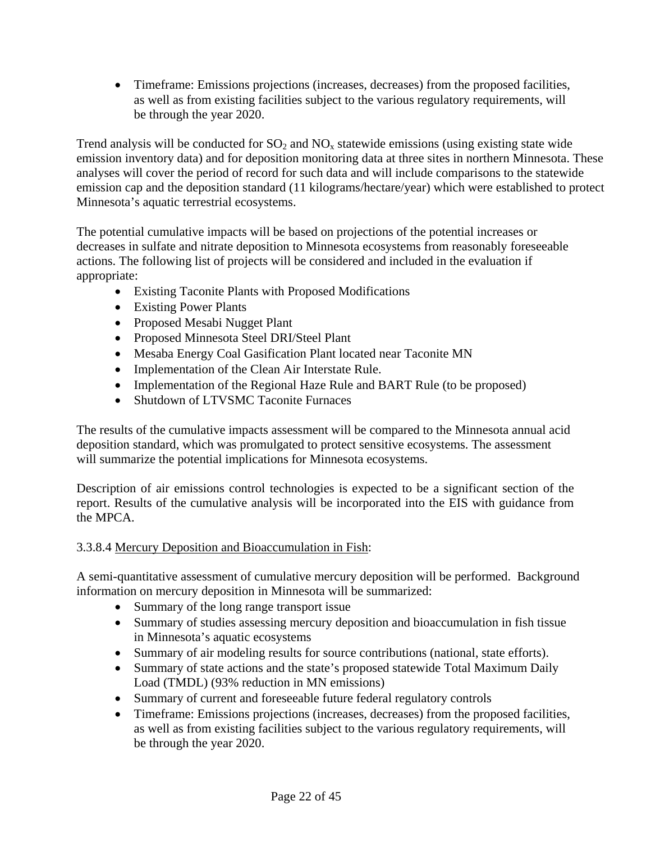• Timeframe: Emissions projections (increases, decreases) from the proposed facilities, as well as from existing facilities subject to the various regulatory requirements, will be through the year 2020.

Trend analysis will be conducted for  $SO_2$  and  $NO_x$  statewide emissions (using existing state wide emission inventory data) and for deposition monitoring data at three sites in northern Minnesota. These analyses will cover the period of record for such data and will include comparisons to the statewide emission cap and the deposition standard (11 kilograms/hectare/year) which were established to protect Minnesota's aquatic terrestrial ecosystems.

The potential cumulative impacts will be based on projections of the potential increases or decreases in sulfate and nitrate deposition to Minnesota ecosystems from reasonably foreseeable actions. The following list of projects will be considered and included in the evaluation if appropriate:

- Existing Taconite Plants with Proposed Modifications
- Existing Power Plants
- Proposed Mesabi Nugget Plant
- Proposed Minnesota Steel DRI/Steel Plant
- Mesaba Energy Coal Gasification Plant located near Taconite MN
- Implementation of the Clean Air Interstate Rule.
- Implementation of the Regional Haze Rule and BART Rule (to be proposed)
- Shutdown of LTVSMC Taconite Furnaces

The results of the cumulative impacts assessment will be compared to the Minnesota annual acid deposition standard, which was promulgated to protect sensitive ecosystems. The assessment will summarize the potential implications for Minnesota ecosystems.

Description of air emissions control technologies is expected to be a significant section of the report. Results of the cumulative analysis will be incorporated into the EIS with guidance from the MPCA.

## 3.3.8.4 Mercury Deposition and Bioaccumulation in Fish:

A semi-quantitative assessment of cumulative mercury deposition will be performed. Background information on mercury deposition in Minnesota will be summarized:

- Summary of the long range transport issue
- Summary of studies assessing mercury deposition and bioaccumulation in fish tissue in Minnesota's aquatic ecosystems
- Summary of air modeling results for source contributions (national, state efforts).
- Summary of state actions and the state's proposed statewide Total Maximum Daily Load (TMDL) (93% reduction in MN emissions)
- Summary of current and foreseeable future federal regulatory controls
- Timeframe: Emissions projections (increases, decreases) from the proposed facilities, as well as from existing facilities subject to the various regulatory requirements, will be through the year 2020.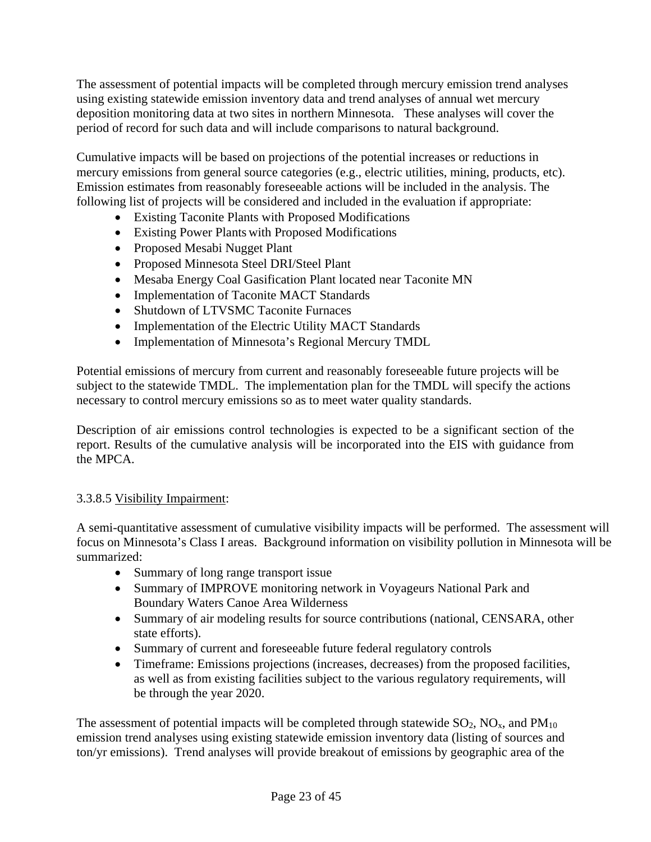The assessment of potential impacts will be completed through mercury emission trend analyses using existing statewide emission inventory data and trend analyses of annual wet mercury deposition monitoring data at two sites in northern Minnesota. These analyses will cover the period of record for such data and will include comparisons to natural background.

Cumulative impacts will be based on projections of the potential increases or reductions in mercury emissions from general source categories (e.g., electric utilities, mining, products, etc). Emission estimates from reasonably foreseeable actions will be included in the analysis. The following list of projects will be considered and included in the evaluation if appropriate:

- Existing Taconite Plants with Proposed Modifications
- Existing Power Plants with Proposed Modifications
- Proposed Mesabi Nugget Plant
- Proposed Minnesota Steel DRI/Steel Plant
- Mesaba Energy Coal Gasification Plant located near Taconite MN
- Implementation of Taconite MACT Standards
- Shutdown of LTVSMC Taconite Furnaces
- Implementation of the Electric Utility MACT Standards
- Implementation of Minnesota's Regional Mercury TMDL

Potential emissions of mercury from current and reasonably foreseeable future projects will be subject to the statewide TMDL. The implementation plan for the TMDL will specify the actions necessary to control mercury emissions so as to meet water quality standards.

Description of air emissions control technologies is expected to be a significant section of the report. Results of the cumulative analysis will be incorporated into the EIS with guidance from the MPCA.

### 3.3.8.5 Visibility Impairment:

A semi-quantitative assessment of cumulative visibility impacts will be performed. The assessment will focus on Minnesota's Class I areas. Background information on visibility pollution in Minnesota will be summarized:

- Summary of long range transport issue
- Summary of IMPROVE monitoring network in Voyageurs National Park and Boundary Waters Canoe Area Wilderness
- Summary of air modeling results for source contributions (national, CENSARA, other state efforts).
- Summary of current and foreseeable future federal regulatory controls
- Timeframe: Emissions projections (increases, decreases) from the proposed facilities, as well as from existing facilities subject to the various regulatory requirements, will be through the year 2020.

The assessment of potential impacts will be completed through statewide  $SO_2$ ,  $NO<sub>x</sub>$ , and  $PM<sub>10</sub>$ emission trend analyses using existing statewide emission inventory data (listing of sources and ton/yr emissions). Trend analyses will provide breakout of emissions by geographic area of the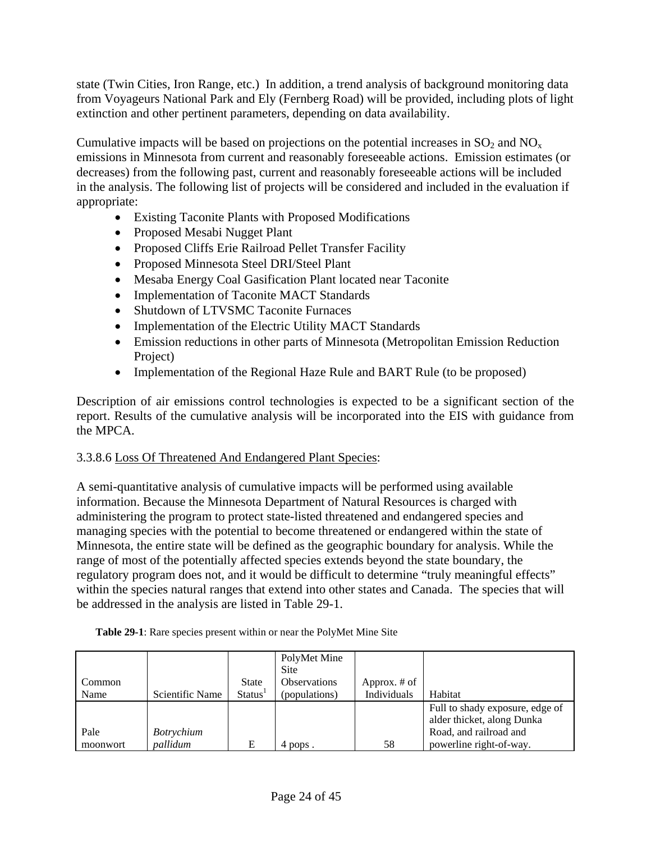state (Twin Cities, Iron Range, etc.) In addition, a trend analysis of background monitoring data from Voyageurs National Park and Ely (Fernberg Road) will be provided, including plots of light extinction and other pertinent parameters, depending on data availability.

Cumulative impacts will be based on projections on the potential increases in  $SO_2$  and  $NO_x$ emissions in Minnesota from current and reasonably foreseeable actions. Emission estimates (or decreases) from the following past, current and reasonably foreseeable actions will be included in the analysis. The following list of projects will be considered and included in the evaluation if appropriate:

- Existing Taconite Plants with Proposed Modifications
- Proposed Mesabi Nugget Plant
- Proposed Cliffs Erie Railroad Pellet Transfer Facility
- Proposed Minnesota Steel DRI/Steel Plant
- Mesaba Energy Coal Gasification Plant located near Taconite
- Implementation of Taconite MACT Standards
- Shutdown of LTVSMC Taconite Furnaces
- Implementation of the Electric Utility MACT Standards
- Emission reductions in other parts of Minnesota (Metropolitan Emission Reduction Project)
- Implementation of the Regional Haze Rule and BART Rule (to be proposed)

Description of air emissions control technologies is expected to be a significant section of the report. Results of the cumulative analysis will be incorporated into the EIS with guidance from the MPCA.

### 3.3.8.6 Loss Of Threatened And Endangered Plant Species:

A semi-quantitative analysis of cumulative impacts will be performed using available information. Because the Minnesota Department of Natural Resources is charged with administering the program to protect state-listed threatened and endangered species and managing species with the potential to become threatened or endangered within the state of Minnesota, the entire state will be defined as the geographic boundary for analysis. While the range of most of the potentially affected species extends beyond the state boundary, the regulatory program does not, and it would be difficult to determine "truly meaningful effects" within the species natural ranges that extend into other states and Canada. The species that will be addressed in the analysis are listed in Table 29-1.

| Common<br>Name   | Scientific Name               | <b>State</b><br><b>Status</b> | PolyMet Mine<br><b>Site</b><br><b>Observations</b><br>(populations) | Approx. # of<br>Individuals | Habitat                                                                                                            |
|------------------|-------------------------------|-------------------------------|---------------------------------------------------------------------|-----------------------------|--------------------------------------------------------------------------------------------------------------------|
| Pale<br>moonwort | <i>Botrychium</i><br>pallidum | E                             | 4 pops.                                                             | 58                          | Full to shady exposure, edge of<br>alder thicket, along Dunka<br>Road, and railroad and<br>powerline right-of-way. |

**Table 29-1**: Rare species present within or near the PolyMet Mine Site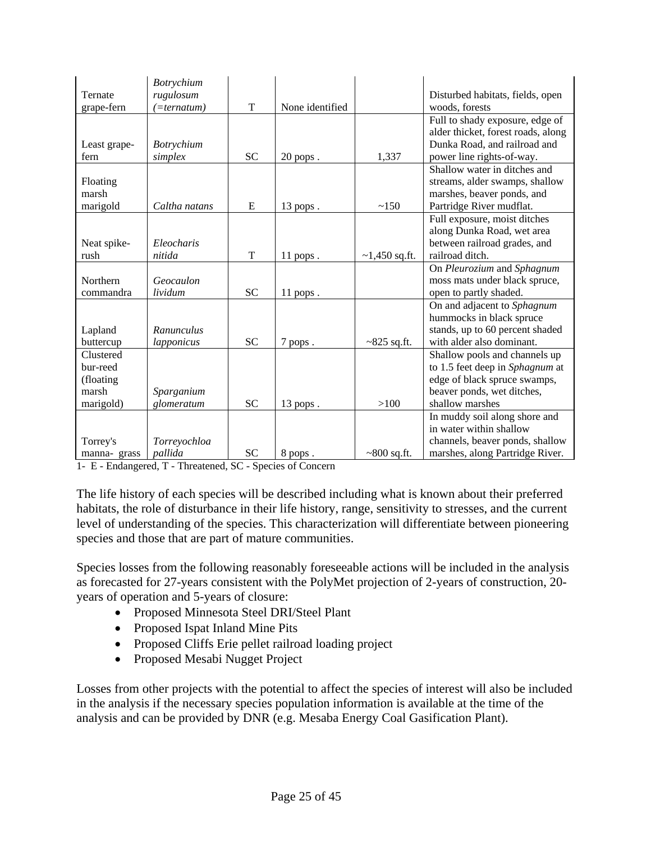|              | Botrychium        |           |                 |                  |                                    |
|--------------|-------------------|-----------|-----------------|------------------|------------------------------------|
| Ternate      | rugulosum         |           |                 |                  | Disturbed habitats, fields, open   |
| grape-fern   | (=ternatum)       | T         | None identified |                  | woods, forests                     |
|              |                   |           |                 |                  | Full to shady exposure, edge of    |
|              |                   |           |                 |                  | alder thicket, forest roads, along |
| Least grape- | <i>Botrychium</i> |           |                 |                  | Dunka Road, and railroad and       |
| fern         | simplex           | <b>SC</b> | $20$ pops.      | 1,337            | power line rights-of-way.          |
|              |                   |           |                 |                  | Shallow water in ditches and       |
| Floating     |                   |           |                 |                  | streams, alder swamps, shallow     |
| marsh        |                   |           |                 |                  | marshes, beaver ponds, and         |
| marigold     | Caltha natans     | E         | 13 pops.        | ~150             | Partridge River mudflat.           |
|              |                   |           |                 |                  | Full exposure, moist ditches       |
|              |                   |           |                 |                  | along Dunka Road, wet area         |
| Neat spike-  | Eleocharis        |           |                 |                  | between railroad grades, and       |
| rush         | nitida            | T         | $11$ pops.      | $~1,450$ sq.ft.  | railroad ditch.                    |
|              |                   |           |                 |                  | On Pleurozium and Sphagnum         |
| Northern     | Geocaulon         |           |                 |                  | moss mats under black spruce,      |
| commandra    | lividum           | <b>SC</b> | $11$ pops.      |                  | open to partly shaded.             |
|              |                   |           |                 |                  | On and adjacent to Sphagnum        |
|              |                   |           |                 |                  | hummocks in black spruce           |
| Lapland      | Ranunculus        |           |                 |                  | stands, up to 60 percent shaded    |
| buttercup    | lapponicus        | <b>SC</b> | 7 pops.         | $~825$ sq.ft.    | with alder also dominant.          |
| Clustered    |                   |           |                 |                  | Shallow pools and channels up      |
| bur-reed     |                   |           |                 |                  | to 1.5 feet deep in Sphagnum at    |
| (floating)   |                   |           |                 |                  | edge of black spruce swamps,       |
| marsh        | Sparganium        |           |                 |                  | beaver ponds, wet ditches,         |
| marigold)    | glomeratum        | <b>SC</b> | 13 pops.        | >100             | shallow marshes                    |
|              |                   |           |                 |                  | In muddy soil along shore and      |
|              |                   |           |                 |                  | in water within shallow            |
| Torrey's     | Torreyochloa      |           |                 |                  | channels, beaver ponds, shallow    |
| manna-grass  | pallida           | <b>SC</b> | 8 pops.         | $\sim800$ sq.ft. | marshes, along Partridge River.    |

1- E - Endangered, T - Threatened, SC - Species of Concern

The life history of each species will be described including what is known about their preferred habitats, the role of disturbance in their life history, range, sensitivity to stresses, and the current level of understanding of the species. This characterization will differentiate between pioneering species and those that are part of mature communities.

Species losses from the following reasonably foreseeable actions will be included in the analysis as forecasted for 27-years consistent with the PolyMet projection of 2-years of construction, 20 years of operation and 5-years of closure:

- Proposed Minnesota Steel DRI/Steel Plant
- Proposed Ispat Inland Mine Pits
- Proposed Cliffs Erie pellet railroad loading project
- Proposed Mesabi Nugget Project

Losses from other projects with the potential to affect the species of interest will also be included in the analysis if the necessary species population information is available at the time of the analysis and can be provided by DNR (e.g. Mesaba Energy Coal Gasification Plant).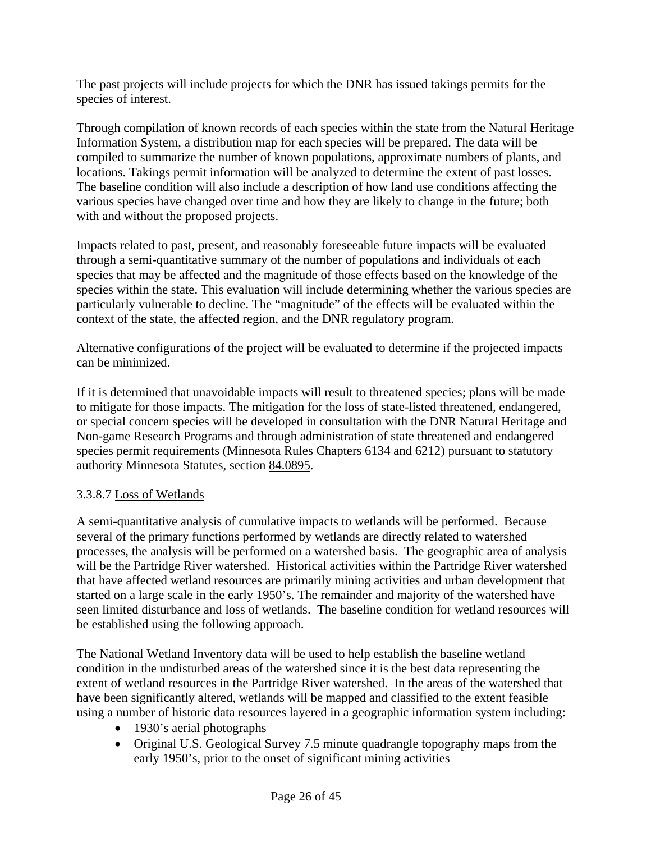The past projects will include projects for which the DNR has issued takings permits for the species of interest.

Through compilation of known records of each species within the state from the Natural Heritage Information System, a distribution map for each species will be prepared. The data will be compiled to summarize the number of known populations, approximate numbers of plants, and locations. Takings permit information will be analyzed to determine the extent of past losses. The baseline condition will also include a description of how land use conditions affecting the various species have changed over time and how they are likely to change in the future; both with and without the proposed projects.

Impacts related to past, present, and reasonably foreseeable future impacts will be evaluated through a semi-quantitative summary of the number of populations and individuals of each species that may be affected and the magnitude of those effects based on the knowledge of the species within the state. This evaluation will include determining whether the various species are particularly vulnerable to decline. The "magnitude" of the effects will be evaluated within the context of the state, the affected region, and the DNR regulatory program.

Alternative configurations of the project will be evaluated to determine if the projected impacts can be minimized.

If it is determined that unavoidable impacts will result to threatened species; plans will be made to mitigate for those impacts. The mitigation for the loss of state-listed threatened, endangered, or special concern species will be developed in consultation with the DNR Natural Heritage and Non-game Research Programs and through administration of state threatened and endangered species permit requirements (Minnesota Rules Chapters 6134 and 6212) pursuant to statutory authority Minnesota Statutes, section [84.0895.](http://www.revisor.leg.state.mn.us/stats/84/0895.html)

### 3.3.8.7 Loss of Wetlands

A semi-quantitative analysis of cumulative impacts to wetlands will be performed. Because several of the primary functions performed by wetlands are directly related to watershed processes, the analysis will be performed on a watershed basis. The geographic area of analysis will be the Partridge River watershed. Historical activities within the Partridge River watershed that have affected wetland resources are primarily mining activities and urban development that started on a large scale in the early 1950's. The remainder and majority of the watershed have seen limited disturbance and loss of wetlands. The baseline condition for wetland resources will be established using the following approach.

The National Wetland Inventory data will be used to help establish the baseline wetland condition in the undisturbed areas of the watershed since it is the best data representing the extent of wetland resources in the Partridge River watershed. In the areas of the watershed that have been significantly altered, wetlands will be mapped and classified to the extent feasible using a number of historic data resources layered in a geographic information system including:

- 1930's aerial photographs
- Original U.S. Geological Survey 7.5 minute quadrangle topography maps from the early 1950's, prior to the onset of significant mining activities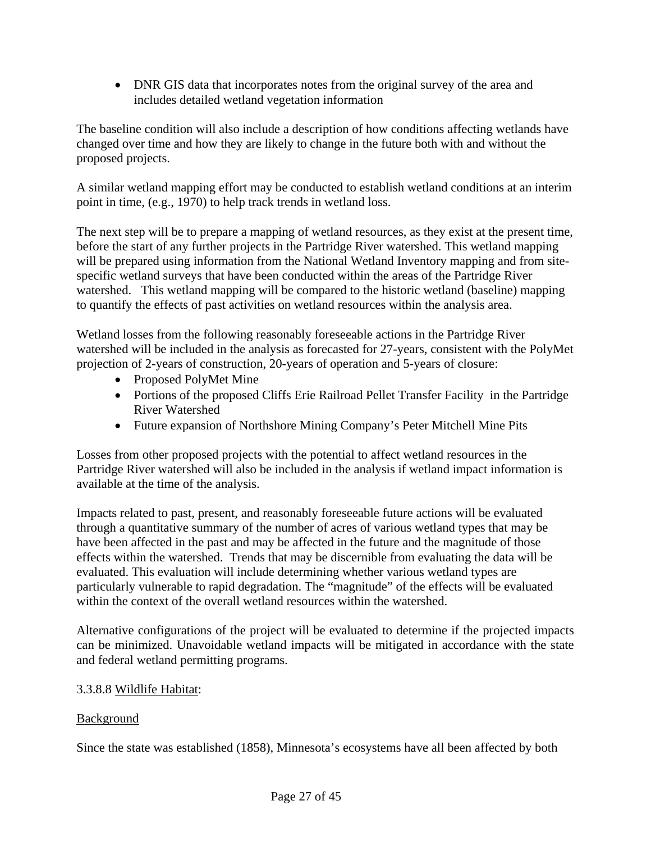• DNR GIS data that incorporates notes from the original survey of the area and includes detailed wetland vegetation information

The baseline condition will also include a description of how conditions affecting wetlands have changed over time and how they are likely to change in the future both with and without the proposed projects.

A similar wetland mapping effort may be conducted to establish wetland conditions at an interim point in time, (e.g., 1970) to help track trends in wetland loss.

The next step will be to prepare a mapping of wetland resources, as they exist at the present time, before the start of any further projects in the Partridge River watershed. This wetland mapping will be prepared using information from the National Wetland Inventory mapping and from sitespecific wetland surveys that have been conducted within the areas of the Partridge River watershed. This wetland mapping will be compared to the historic wetland (baseline) mapping to quantify the effects of past activities on wetland resources within the analysis area.

Wetland losses from the following reasonably foreseeable actions in the Partridge River watershed will be included in the analysis as forecasted for 27-years, consistent with the PolyMet projection of 2-years of construction, 20-years of operation and 5-years of closure:

- Proposed PolyMet Mine
- Portions of the proposed Cliffs Erie Railroad Pellet Transfer Facility in the Partridge River Watershed
- Future expansion of Northshore Mining Company's Peter Mitchell Mine Pits

Losses from other proposed projects with the potential to affect wetland resources in the Partridge River watershed will also be included in the analysis if wetland impact information is available at the time of the analysis.

Impacts related to past, present, and reasonably foreseeable future actions will be evaluated through a quantitative summary of the number of acres of various wetland types that may be have been affected in the past and may be affected in the future and the magnitude of those effects within the watershed. Trends that may be discernible from evaluating the data will be evaluated. This evaluation will include determining whether various wetland types are particularly vulnerable to rapid degradation. The "magnitude" of the effects will be evaluated within the context of the overall wetland resources within the watershed.

Alternative configurations of the project will be evaluated to determine if the projected impacts can be minimized. Unavoidable wetland impacts will be mitigated in accordance with the state and federal wetland permitting programs.

## 3.3.8.8 Wildlife Habitat:

## Background

Since the state was established (1858), Minnesota's ecosystems have all been affected by both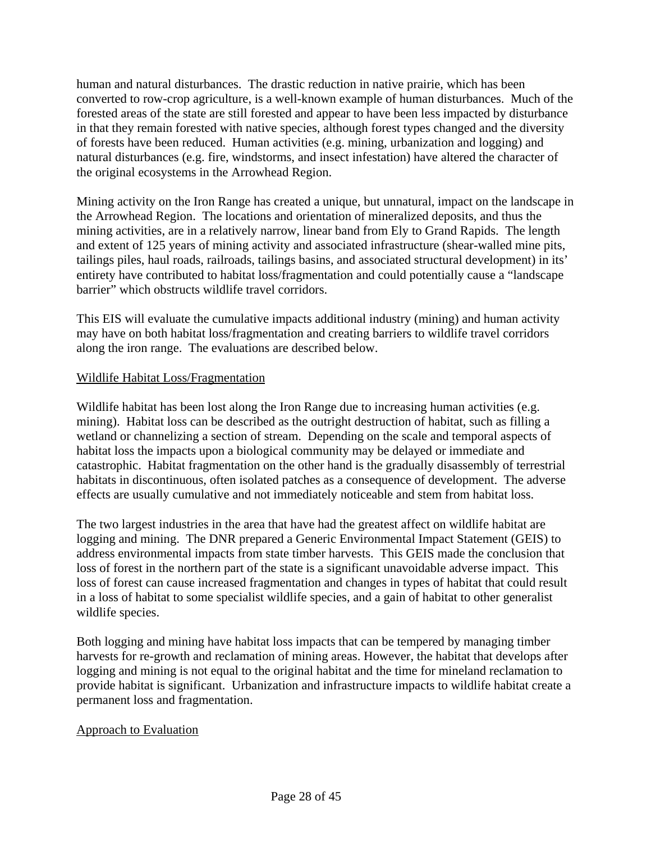human and natural disturbances. The drastic reduction in native prairie, which has been converted to row-crop agriculture, is a well-known example of human disturbances. Much of the forested areas of the state are still forested and appear to have been less impacted by disturbance in that they remain forested with native species, although forest types changed and the diversity of forests have been reduced. Human activities (e.g. mining, urbanization and logging) and natural disturbances (e.g. fire, windstorms, and insect infestation) have altered the character of the original ecosystems in the Arrowhead Region.

Mining activity on the Iron Range has created a unique, but unnatural, impact on the landscape in the Arrowhead Region. The locations and orientation of mineralized deposits, and thus the mining activities, are in a relatively narrow, linear band from Ely to Grand Rapids. The length and extent of 125 years of mining activity and associated infrastructure (shear-walled mine pits, tailings piles, haul roads, railroads, tailings basins, and associated structural development) in its' entirety have contributed to habitat loss/fragmentation and could potentially cause a "landscape barrier" which obstructs wildlife travel corridors.

This EIS will evaluate the cumulative impacts additional industry (mining) and human activity may have on both habitat loss/fragmentation and creating barriers to wildlife travel corridors along the iron range. The evaluations are described below.

### Wildlife Habitat Loss/Fragmentation

Wildlife habitat has been lost along the Iron Range due to increasing human activities (e.g. mining). Habitat loss can be described as the outright destruction of habitat, such as filling a wetland or channelizing a section of stream. Depending on the scale and temporal aspects of habitat loss the impacts upon a biological community may be delayed or immediate and catastrophic. Habitat fragmentation on the other hand is the gradually disassembly of terrestrial habitats in discontinuous, often isolated patches as a consequence of development. The adverse effects are usually cumulative and not immediately noticeable and stem from habitat loss.

The two largest industries in the area that have had the greatest affect on wildlife habitat are logging and mining. The DNR prepared a Generic Environmental Impact Statement (GEIS) to address environmental impacts from state timber harvests. This GEIS made the conclusion that loss of forest in the northern part of the state is a significant unavoidable adverse impact. This loss of forest can cause increased fragmentation and changes in types of habitat that could result in a loss of habitat to some specialist wildlife species, and a gain of habitat to other generalist wildlife species.

Both logging and mining have habitat loss impacts that can be tempered by managing timber harvests for re-growth and reclamation of mining areas. However, the habitat that develops after logging and mining is not equal to the original habitat and the time for mineland reclamation to provide habitat is significant. Urbanization and infrastructure impacts to wildlife habitat create a permanent loss and fragmentation.

### Approach to Evaluation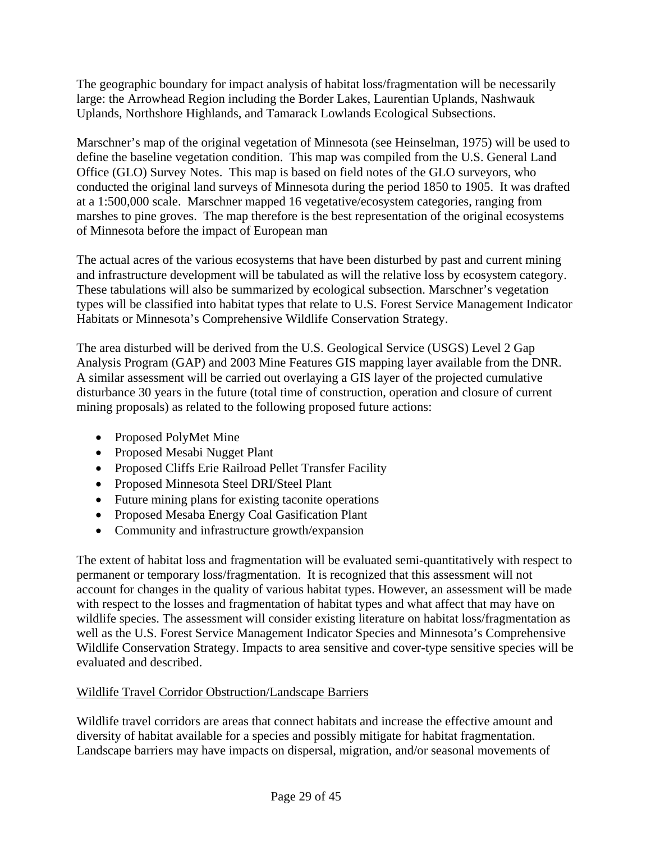The geographic boundary for impact analysis of habitat loss/fragmentation will be necessarily large: the Arrowhead Region including the Border Lakes, Laurentian Uplands, Nashwauk Uplands, Northshore Highlands, and Tamarack Lowlands Ecological Subsections.

Marschner's map of the original vegetation of Minnesota (see Heinselman, 1975) will be used to define the baseline vegetation condition. This map was compiled from the U.S. General Land Office (GLO) Survey Notes. This map is based on field notes of the GLO surveyors, who conducted the original land surveys of Minnesota during the period 1850 to 1905. It was drafted at a 1:500,000 scale. Marschner mapped 16 vegetative/ecosystem categories, ranging from marshes to pine groves. The map therefore is the best representation of the original ecosystems of Minnesota before the impact of European man

The actual acres of the various ecosystems that have been disturbed by past and current mining and infrastructure development will be tabulated as will the relative loss by ecosystem category. These tabulations will also be summarized by ecological subsection. Marschner's vegetation types will be classified into habitat types that relate to U.S. Forest Service Management Indicator Habitats or Minnesota's Comprehensive Wildlife Conservation Strategy.

The area disturbed will be derived from the U.S. Geological Service (USGS) Level 2 Gap Analysis Program (GAP) and 2003 Mine Features GIS mapping layer available from the DNR. A similar assessment will be carried out overlaying a GIS layer of the projected cumulative disturbance 30 years in the future (total time of construction, operation and closure of current mining proposals) as related to the following proposed future actions:

- Proposed PolyMet Mine
- Proposed Mesabi Nugget Plant
- Proposed Cliffs Erie Railroad Pellet Transfer Facility
- Proposed Minnesota Steel DRI/Steel Plant
- Future mining plans for existing taconite operations
- Proposed Mesaba Energy Coal Gasification Plant
- Community and infrastructure growth/expansion

The extent of habitat loss and fragmentation will be evaluated semi-quantitatively with respect to permanent or temporary loss/fragmentation. It is recognized that this assessment will not account for changes in the quality of various habitat types. However, an assessment will be made with respect to the losses and fragmentation of habitat types and what affect that may have on wildlife species. The assessment will consider existing literature on habitat loss/fragmentation as well as the U.S. Forest Service Management Indicator Species and Minnesota's Comprehensive Wildlife Conservation Strategy. Impacts to area sensitive and cover-type sensitive species will be evaluated and described.

## Wildlife Travel Corridor Obstruction/Landscape Barriers

Wildlife travel corridors are areas that connect habitats and increase the effective amount and diversity of habitat available for a species and possibly mitigate for habitat fragmentation. Landscape barriers may have impacts on dispersal, migration, and/or seasonal movements of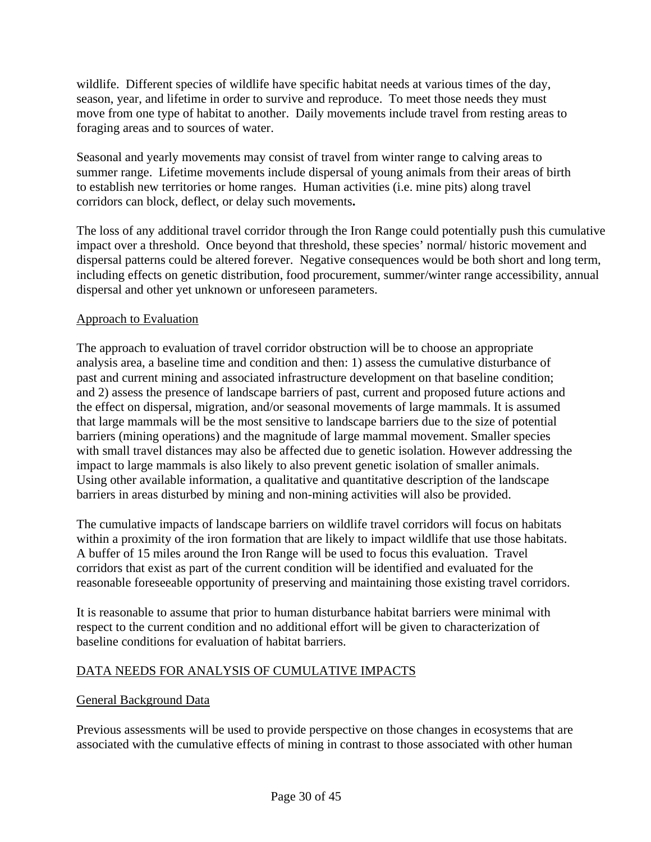wildlife. Different species of wildlife have specific habitat needs at various times of the day, season, year, and lifetime in order to survive and reproduce. To meet those needs they must move from one type of habitat to another. Daily movements include travel from resting areas to foraging areas and to sources of water.

Seasonal and yearly movements may consist of travel from winter range to calving areas to summer range. Lifetime movements include dispersal of young animals from their areas of birth to establish new territories or home ranges. Human activities (i.e. mine pits) along travel corridors can block, deflect, or delay such movements**.**

The loss of any additional travel corridor through the Iron Range could potentially push this cumulative impact over a threshold. Once beyond that threshold, these species' normal/ historic movement and dispersal patterns could be altered forever. Negative consequences would be both short and long term, including effects on genetic distribution, food procurement, summer/winter range accessibility, annual dispersal and other yet unknown or unforeseen parameters.

### Approach to Evaluation

The approach to evaluation of travel corridor obstruction will be to choose an appropriate analysis area, a baseline time and condition and then: 1) assess the cumulative disturbance of past and current mining and associated infrastructure development on that baseline condition; and 2) assess the presence of landscape barriers of past, current and proposed future actions and the effect on dispersal, migration, and/or seasonal movements of large mammals. It is assumed that large mammals will be the most sensitive to landscape barriers due to the size of potential barriers (mining operations) and the magnitude of large mammal movement. Smaller species with small travel distances may also be affected due to genetic isolation. However addressing the impact to large mammals is also likely to also prevent genetic isolation of smaller animals. Using other available information, a qualitative and quantitative description of the landscape barriers in areas disturbed by mining and non-mining activities will also be provided.

The cumulative impacts of landscape barriers on wildlife travel corridors will focus on habitats within a proximity of the iron formation that are likely to impact wildlife that use those habitats. A buffer of 15 miles around the Iron Range will be used to focus this evaluation. Travel corridors that exist as part of the current condition will be identified and evaluated for the reasonable foreseeable opportunity of preserving and maintaining those existing travel corridors.

It is reasonable to assume that prior to human disturbance habitat barriers were minimal with respect to the current condition and no additional effort will be given to characterization of baseline conditions for evaluation of habitat barriers.

## DATA NEEDS FOR ANALYSIS OF CUMULATIVE IMPACTS

### General Background Data

Previous assessments will be used to provide perspective on those changes in ecosystems that are associated with the cumulative effects of mining in contrast to those associated with other human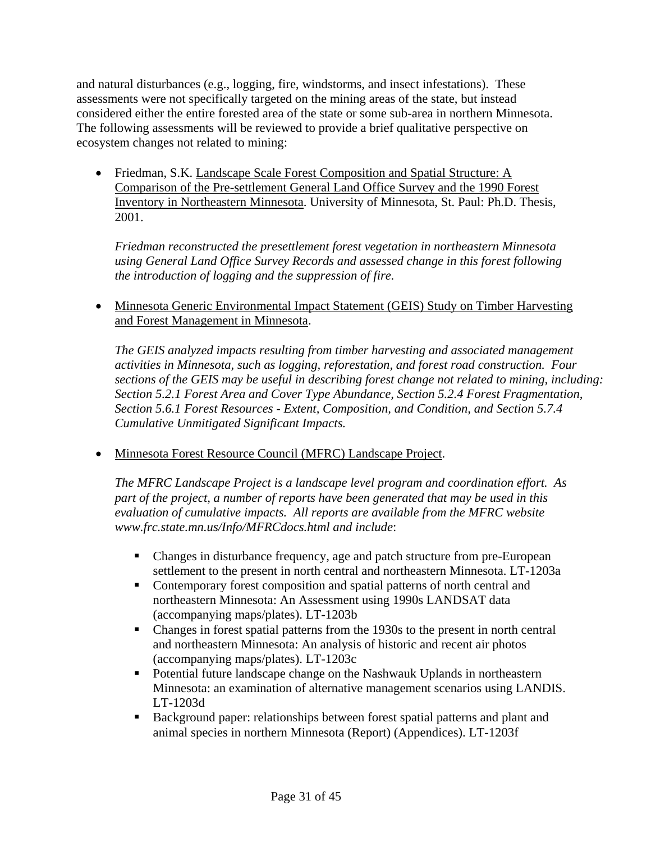and natural disturbances (e.g., logging, fire, windstorms, and insect infestations). These assessments were not specifically targeted on the mining areas of the state, but instead considered either the entire forested area of the state or some sub-area in northern Minnesota. The following assessments will be reviewed to provide a brief qualitative perspective on ecosystem changes not related to mining:

• Friedman, S.K. Landscape Scale Forest Composition and Spatial Structure: A Comparison of the Pre-settlement General Land Office Survey and the 1990 Forest Inventory in Northeastern Minnesota. University of Minnesota, St. Paul: Ph.D. Thesis, 2001.

*Friedman reconstructed the presettlement forest vegetation in northeastern Minnesota using General Land Office Survey Records and assessed change in this forest following the introduction of logging and the suppression of fire.* 

• Minnesota Generic Environmental Impact Statement (GEIS) Study on Timber Harvesting and Forest Management in Minnesota.

*The GEIS analyzed impacts resulting from timber harvesting and associated management activities in Minnesota, such as logging, reforestation, and forest road construction. Four sections of the GEIS may be useful in describing forest change not related to mining, including: Section 5.2.1 Forest Area and Cover Type Abundance, Section 5.2.4 Forest Fragmentation, Section 5.6.1 Forest Resources - Extent, Composition, and Condition, and Section 5.7.4 Cumulative Unmitigated Significant Impacts.* 

• Minnesota Forest Resource Council (MFRC) Landscape Project.

*The MFRC Landscape Project is a landscape level program and coordination effort. As part of the project, a number of reports have been generated that may be used in this evaluation of cumulative impacts. All reports are available from the MFRC website www.frc.state.mn.us/Info/MFRCdocs.html and include*:

- Changes in disturbance frequency, age and patch structure from pre-European settlement to the present in north central and northeastern Minnesota. LT-1203a
- Contemporary forest composition and spatial patterns of north central and northeastern Minnesota: An Assessment using 1990s LANDSAT data (accompanying maps/plates). LT-1203b
- Changes in forest spatial patterns from the 1930s to the present in north central and northeastern Minnesota: An analysis of historic and recent air photos (accompanying maps/plates). LT-1203c
- Potential future landscape change on the Nashwauk Uplands in northeastern Minnesota: an examination of alternative management scenarios using LANDIS. LT-1203d
- Background paper: relationships between forest spatial patterns and plant and animal species in northern Minnesota (Report) (Appendices). LT-1203f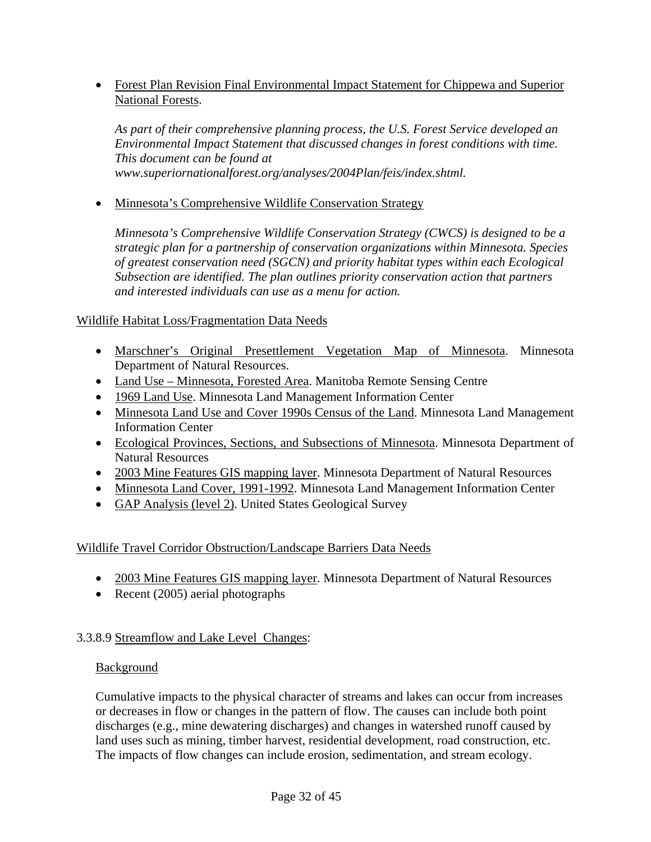• Forest Plan Revision Final Environmental Impact Statement for Chippewa and Superior National Forests.

*As part of their comprehensive planning process, the U.S. Forest Service developed an Environmental Impact Statement that discussed changes in forest conditions with time. This document can be found at www.superiornationalforest.org/analyses/2004Plan/feis/index.shtml.* 

• Minnesota's Comprehensive Wildlife Conservation Strategy

*Minnesota's Comprehensive Wildlife Conservation Strategy (CWCS) is designed to be a strategic plan for a partnership of conservation organizations within Minnesota. Species of greatest conservation need (SGCN) and priority habitat types within each Ecological Subsection are identified. The plan outlines priority conservation action that partners and interested individuals can use as a menu for action.* 

### Wildlife Habitat Loss/Fragmentation Data Needs

- Marschner's Original Presettlement Vegetation Map of Minnesota. Minnesota Department of Natural Resources.
- Land Use Minnesota, Forested Area. Manitoba Remote Sensing Centre
- 1969 Land Use. Minnesota Land Management Information Center
- Minnesota Land Use and Cover 1990s Census of the Land. Minnesota Land Management Information Center
- Ecological Provinces, Sections, and Subsections of Minnesota. Minnesota Department of Natural Resources
- 2003 Mine Features GIS mapping layer. Minnesota Department of Natural Resources
- Minnesota Land Cover, 1991-1992. Minnesota Land Management Information Center
- GAP Analysis (level 2). United States Geological Survey

### Wildlife Travel Corridor Obstruction/Landscape Barriers Data Needs

- 2003 Mine Features GIS mapping layer. Minnesota Department of Natural Resources
- Recent (2005) aerial photographs

## 3.3.8.9 Streamflow and Lake Level Changes:

### Background

Cumulative impacts to the physical character of streams and lakes can occur from increases or decreases in flow or changes in the pattern of flow. The causes can include both point discharges (e.g., mine dewatering discharges) and changes in watershed runoff caused by land uses such as mining, timber harvest, residential development, road construction, etc. The impacts of flow changes can include erosion, sedimentation, and stream ecology.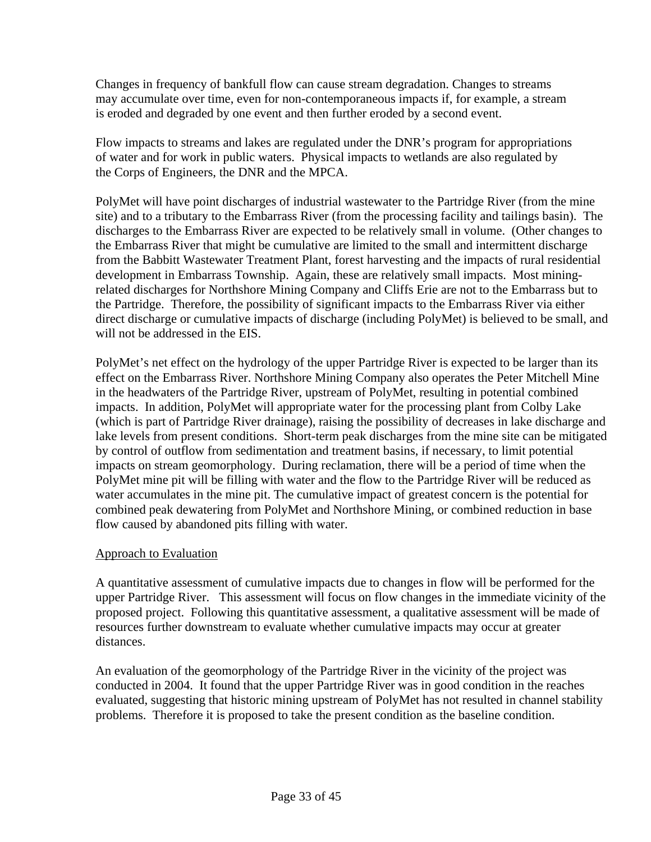Changes in frequency of bankfull flow can cause stream degradation. Changes to streams may accumulate over time, even for non-contemporaneous impacts if, for example, a stream is eroded and degraded by one event and then further eroded by a second event.

Flow impacts to streams and lakes are regulated under the DNR's program for appropriations of water and for work in public waters. Physical impacts to wetlands are also regulated by the Corps of Engineers, the DNR and the MPCA.

PolyMet will have point discharges of industrial wastewater to the Partridge River (from the mine site) and to a tributary to the Embarrass River (from the processing facility and tailings basin). The discharges to the Embarrass River are expected to be relatively small in volume. (Other changes to the Embarrass River that might be cumulative are limited to the small and intermittent discharge from the Babbitt Wastewater Treatment Plant, forest harvesting and the impacts of rural residential development in Embarrass Township. Again, these are relatively small impacts. Most miningrelated discharges for Northshore Mining Company and Cliffs Erie are not to the Embarrass but to the Partridge. Therefore, the possibility of significant impacts to the Embarrass River via either direct discharge or cumulative impacts of discharge (including PolyMet) is believed to be small, and will not be addressed in the EIS.

PolyMet's net effect on the hydrology of the upper Partridge River is expected to be larger than its effect on the Embarrass River. Northshore Mining Company also operates the Peter Mitchell Mine in the headwaters of the Partridge River, upstream of PolyMet, resulting in potential combined impacts. In addition, PolyMet will appropriate water for the processing plant from Colby Lake (which is part of Partridge River drainage), raising the possibility of decreases in lake discharge and lake levels from present conditions. Short-term peak discharges from the mine site can be mitigated by control of outflow from sedimentation and treatment basins, if necessary, to limit potential impacts on stream geomorphology. During reclamation, there will be a period of time when the PolyMet mine pit will be filling with water and the flow to the Partridge River will be reduced as water accumulates in the mine pit. The cumulative impact of greatest concern is the potential for combined peak dewatering from PolyMet and Northshore Mining, or combined reduction in base flow caused by abandoned pits filling with water.

### Approach to Evaluation

A quantitative assessment of cumulative impacts due to changes in flow will be performed for the upper Partridge River. This assessment will focus on flow changes in the immediate vicinity of the proposed project. Following this quantitative assessment, a qualitative assessment will be made of resources further downstream to evaluate whether cumulative impacts may occur at greater distances.

An evaluation of the geomorphology of the Partridge River in the vicinity of the project was conducted in 2004. It found that the upper Partridge River was in good condition in the reaches evaluated, suggesting that historic mining upstream of PolyMet has not resulted in channel stability problems. Therefore it is proposed to take the present condition as the baseline condition.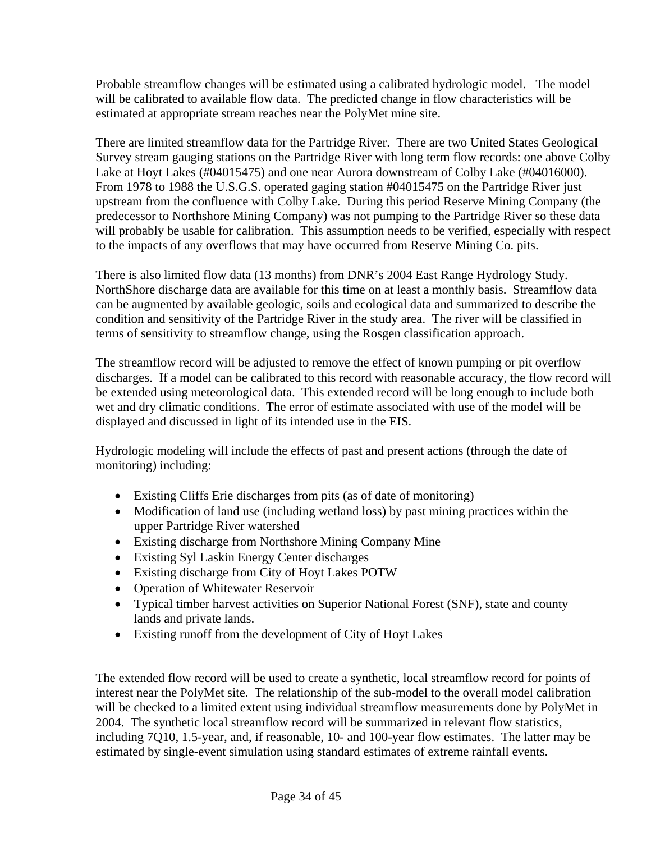Probable streamflow changes will be estimated using a calibrated hydrologic model. The model will be calibrated to available flow data. The predicted change in flow characteristics will be estimated at appropriate stream reaches near the PolyMet mine site.

There are limited streamflow data for the Partridge River. There are two United States Geological Survey stream gauging stations on the Partridge River with long term flow records: one above Colby Lake at Hoyt Lakes (#04015475) and one near Aurora downstream of Colby Lake (#04016000). From 1978 to 1988 the U.S.G.S. operated gaging station #04015475 on the Partridge River just upstream from the confluence with Colby Lake. During this period Reserve Mining Company (the predecessor to Northshore Mining Company) was not pumping to the Partridge River so these data will probably be usable for calibration. This assumption needs to be verified, especially with respect to the impacts of any overflows that may have occurred from Reserve Mining Co. pits.

There is also limited flow data (13 months) from DNR's 2004 East Range Hydrology Study. NorthShore discharge data are available for this time on at least a monthly basis. Streamflow data can be augmented by available geologic, soils and ecological data and summarized to describe the condition and sensitivity of the Partridge River in the study area. The river will be classified in terms of sensitivity to streamflow change, using the Rosgen classification approach.

The streamflow record will be adjusted to remove the effect of known pumping or pit overflow discharges. If a model can be calibrated to this record with reasonable accuracy, the flow record will be extended using meteorological data. This extended record will be long enough to include both wet and dry climatic conditions. The error of estimate associated with use of the model will be displayed and discussed in light of its intended use in the EIS.

Hydrologic modeling will include the effects of past and present actions (through the date of monitoring) including:

- Existing Cliffs Erie discharges from pits (as of date of monitoring)
- Modification of land use (including wetland loss) by past mining practices within the upper Partridge River watershed
- Existing discharge from Northshore Mining Company Mine
- Existing Syl Laskin Energy Center discharges
- Existing discharge from City of Hoyt Lakes POTW
- Operation of Whitewater Reservoir
- Typical timber harvest activities on Superior National Forest (SNF), state and county lands and private lands.
- Existing runoff from the development of City of Hoyt Lakes

The extended flow record will be used to create a synthetic, local streamflow record for points of interest near the PolyMet site. The relationship of the sub-model to the overall model calibration will be checked to a limited extent using individual streamflow measurements done by PolyMet in 2004. The synthetic local streamflow record will be summarized in relevant flow statistics, including 7Q10, 1.5-year, and, if reasonable, 10- and 100-year flow estimates. The latter may be estimated by single-event simulation using standard estimates of extreme rainfall events.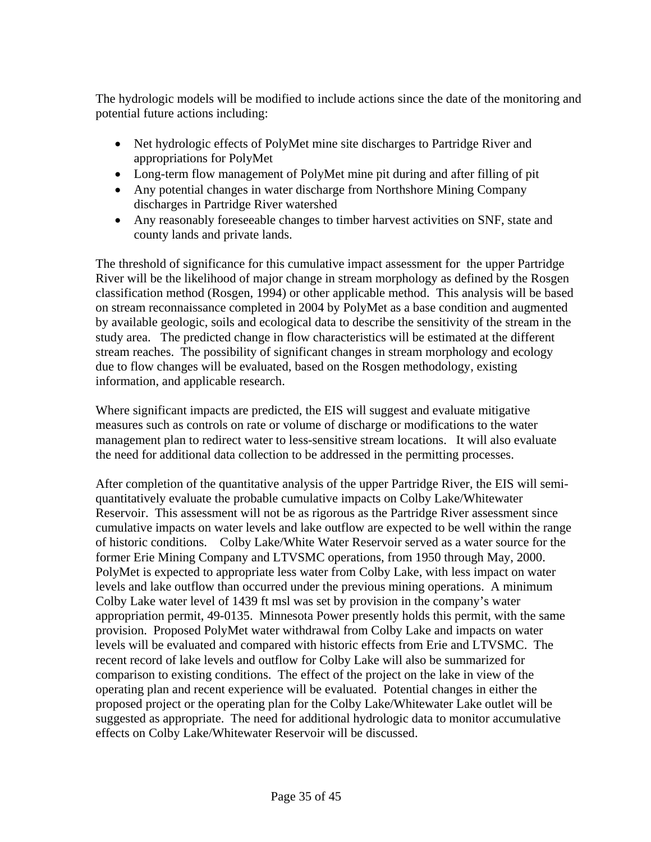The hydrologic models will be modified to include actions since the date of the monitoring and potential future actions including:

- Net hydrologic effects of PolyMet mine site discharges to Partridge River and appropriations for PolyMet
- Long-term flow management of PolyMet mine pit during and after filling of pit
- Any potential changes in water discharge from Northshore Mining Company discharges in Partridge River watershed
- Any reasonably foreseeable changes to timber harvest activities on SNF, state and county lands and private lands.

The threshold of significance for this cumulative impact assessment for the upper Partridge River will be the likelihood of major change in stream morphology as defined by the Rosgen classification method (Rosgen, 1994) or other applicable method. This analysis will be based on stream reconnaissance completed in 2004 by PolyMet as a base condition and augmented by available geologic, soils and ecological data to describe the sensitivity of the stream in the study area. The predicted change in flow characteristics will be estimated at the different stream reaches. The possibility of significant changes in stream morphology and ecology due to flow changes will be evaluated, based on the Rosgen methodology, existing information, and applicable research.

Where significant impacts are predicted, the EIS will suggest and evaluate mitigative measures such as controls on rate or volume of discharge or modifications to the water management plan to redirect water to less-sensitive stream locations. It will also evaluate the need for additional data collection to be addressed in the permitting processes.

After completion of the quantitative analysis of the upper Partridge River, the EIS will semiquantitatively evaluate the probable cumulative impacts on Colby Lake/Whitewater Reservoir. This assessment will not be as rigorous as the Partridge River assessment since cumulative impacts on water levels and lake outflow are expected to be well within the range of historic conditions. Colby Lake/White Water Reservoir served as a water source for the former Erie Mining Company and LTVSMC operations, from 1950 through May, 2000. PolyMet is expected to appropriate less water from Colby Lake, with less impact on water levels and lake outflow than occurred under the previous mining operations. A minimum Colby Lake water level of 1439 ft msl was set by provision in the company's water appropriation permit, 49-0135. Minnesota Power presently holds this permit, with the same provision. Proposed PolyMet water withdrawal from Colby Lake and impacts on water levels will be evaluated and compared with historic effects from Erie and LTVSMC. The recent record of lake levels and outflow for Colby Lake will also be summarized for comparison to existing conditions. The effect of the project on the lake in view of the operating plan and recent experience will be evaluated. Potential changes in either the proposed project or the operating plan for the Colby Lake/Whitewater Lake outlet will be suggested as appropriate. The need for additional hydrologic data to monitor accumulative effects on Colby Lake/Whitewater Reservoir will be discussed.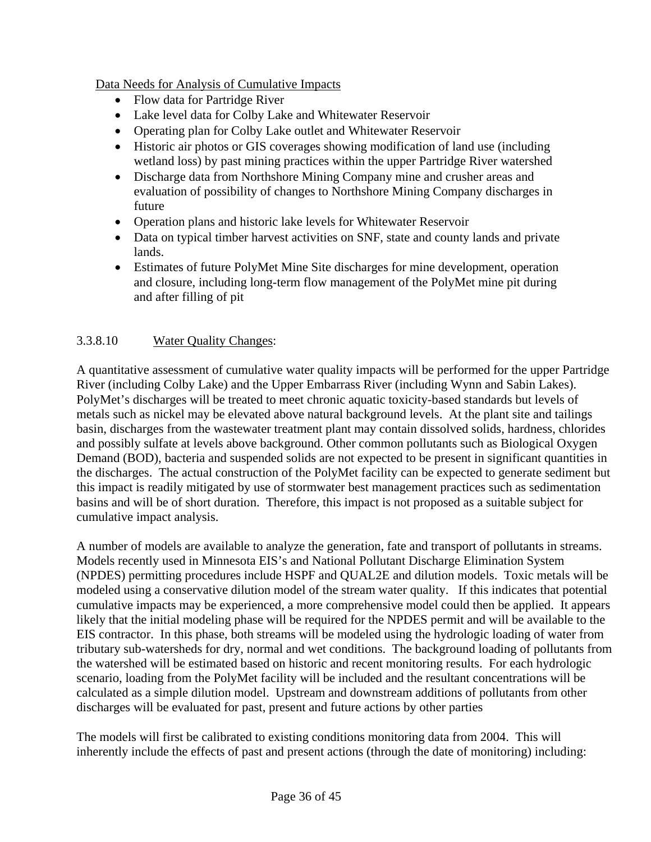Data Needs for Analysis of Cumulative Impacts

- Flow data for Partridge River
- Lake level data for Colby Lake and Whitewater Reservoir
- Operating plan for Colby Lake outlet and Whitewater Reservoir
- Historic air photos or GIS coverages showing modification of land use (including wetland loss) by past mining practices within the upper Partridge River watershed
- Discharge data from Northshore Mining Company mine and crusher areas and evaluation of possibility of changes to Northshore Mining Company discharges in future
- Operation plans and historic lake levels for Whitewater Reservoir
- Data on typical timber harvest activities on SNF, state and county lands and private lands.
- Estimates of future PolyMet Mine Site discharges for mine development, operation and closure, including long-term flow management of the PolyMet mine pit during and after filling of pit

### 3.3.8.10 Water Quality Changes:

A quantitative assessment of cumulative water quality impacts will be performed for the upper Partridge River (including Colby Lake) and the Upper Embarrass River (including Wynn and Sabin Lakes). PolyMet's discharges will be treated to meet chronic aquatic toxicity-based standards but levels of metals such as nickel may be elevated above natural background levels. At the plant site and tailings basin, discharges from the wastewater treatment plant may contain dissolved solids, hardness, chlorides and possibly sulfate at levels above background. Other common pollutants such as Biological Oxygen Demand (BOD), bacteria and suspended solids are not expected to be present in significant quantities in the discharges. The actual construction of the PolyMet facility can be expected to generate sediment but this impact is readily mitigated by use of stormwater best management practices such as sedimentation basins and will be of short duration. Therefore, this impact is not proposed as a suitable subject for cumulative impact analysis.

A number of models are available to analyze the generation, fate and transport of pollutants in streams. Models recently used in Minnesota EIS's and National Pollutant Discharge Elimination System (NPDES) permitting procedures include HSPF and QUAL2E and dilution models. Toxic metals will be modeled using a conservative dilution model of the stream water quality. If this indicates that potential cumulative impacts may be experienced, a more comprehensive model could then be applied. It appears likely that the initial modeling phase will be required for the NPDES permit and will be available to the EIS contractor. In this phase, both streams will be modeled using the hydrologic loading of water from tributary sub-watersheds for dry, normal and wet conditions. The background loading of pollutants from the watershed will be estimated based on historic and recent monitoring results. For each hydrologic scenario, loading from the PolyMet facility will be included and the resultant concentrations will be calculated as a simple dilution model. Upstream and downstream additions of pollutants from other discharges will be evaluated for past, present and future actions by other parties

The models will first be calibrated to existing conditions monitoring data from 2004. This will inherently include the effects of past and present actions (through the date of monitoring) including: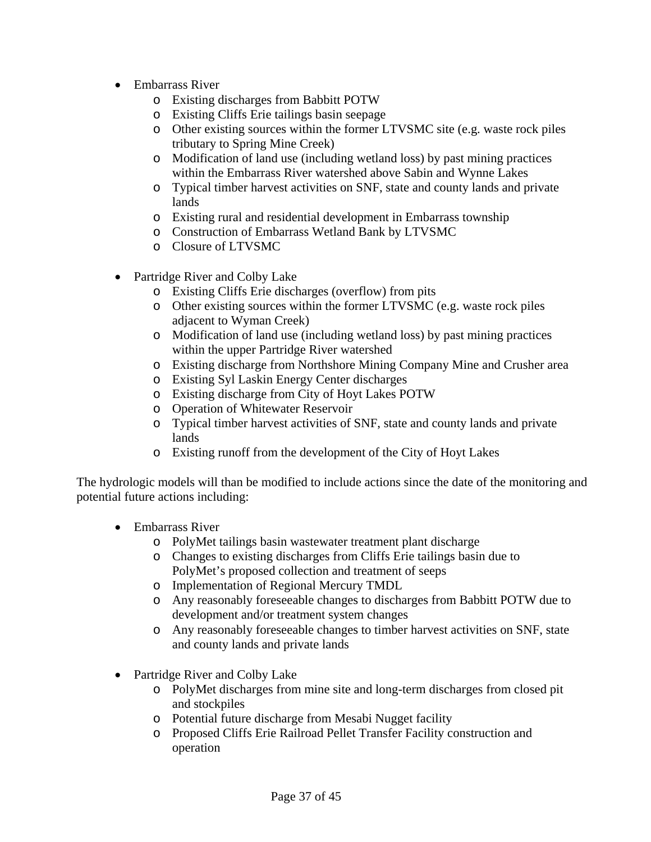- Embarrass River
	- o Existing discharges from Babbitt POTW
	- o Existing Cliffs Erie tailings basin seepage
	- o Other existing sources within the former LTVSMC site (e.g. waste rock piles tributary to Spring Mine Creek)
	- o Modification of land use (including wetland loss) by past mining practices within the Embarrass River watershed above Sabin and Wynne Lakes
	- o Typical timber harvest activities on SNF, state and county lands and private lands
	- o Existing rural and residential development in Embarrass township
	- o Construction of Embarrass Wetland Bank by LTVSMC
	- o Closure of LTVSMC
- Partridge River and Colby Lake
	- o Existing Cliffs Erie discharges (overflow) from pits
	- o Other existing sources within the former LTVSMC (e.g. waste rock piles adjacent to Wyman Creek)
	- o Modification of land use (including wetland loss) by past mining practices within the upper Partridge River watershed
	- o Existing discharge from Northshore Mining Company Mine and Crusher area
	- o Existing Syl Laskin Energy Center discharges
	- o Existing discharge from City of Hoyt Lakes POTW
	- o Operation of Whitewater Reservoir
	- o Typical timber harvest activities of SNF, state and county lands and private lands
	- o Existing runoff from the development of the City of Hoyt Lakes

The hydrologic models will than be modified to include actions since the date of the monitoring and potential future actions including:

- Embarrass River
	- o PolyMet tailings basin wastewater treatment plant discharge
	- o Changes to existing discharges from Cliffs Erie tailings basin due to PolyMet's proposed collection and treatment of seeps
	- o Implementation of Regional Mercury TMDL
	- o Any reasonably foreseeable changes to discharges from Babbitt POTW due to development and/or treatment system changes
	- o Any reasonably foreseeable changes to timber harvest activities on SNF, state and county lands and private lands
- Partridge River and Colby Lake
	- o PolyMet discharges from mine site and long-term discharges from closed pit and stockpiles
	- o Potential future discharge from Mesabi Nugget facility
	- o Proposed Cliffs Erie Railroad Pellet Transfer Facility construction and operation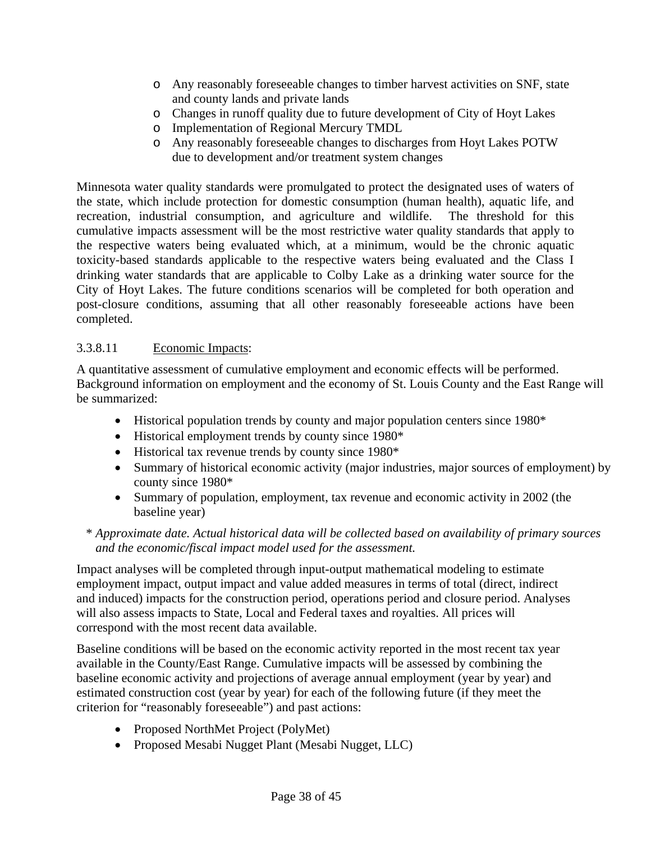- o Any reasonably foreseeable changes to timber harvest activities on SNF, state and county lands and private lands
- o Changes in runoff quality due to future development of City of Hoyt Lakes
- o Implementation of Regional Mercury TMDL
- o Any reasonably foreseeable changes to discharges from Hoyt Lakes POTW due to development and/or treatment system changes

Minnesota water quality standards were promulgated to protect the designated uses of waters of the state, which include protection for domestic consumption (human health), aquatic life, and recreation, industrial consumption, and agriculture and wildlife. The threshold for this cumulative impacts assessment will be the most restrictive water quality standards that apply to the respective waters being evaluated which, at a minimum, would be the chronic aquatic toxicity-based standards applicable to the respective waters being evaluated and the Class I drinking water standards that are applicable to Colby Lake as a drinking water source for the City of Hoyt Lakes. The future conditions scenarios will be completed for both operation and post-closure conditions, assuming that all other reasonably foreseeable actions have been completed.

### 3.3.8.11 Economic Impacts:

A quantitative assessment of cumulative employment and economic effects will be performed. Background information on employment and the economy of St. Louis County and the East Range will be summarized:

- Historical population trends by county and major population centers since 1980\*
- Historical employment trends by county since 1980\*
- Historical tax revenue trends by county since 1980\*
- Summary of historical economic activity (major industries, major sources of employment) by county since 1980\*
- Summary of population, employment, tax revenue and economic activity in 2002 (the baseline year)

### \* *Approximate date. Actual historical data will be collected based on availability of primary sources and the economic/fiscal impact model used for the assessment.*

Impact analyses will be completed through input-output mathematical modeling to estimate employment impact, output impact and value added measures in terms of total (direct, indirect and induced) impacts for the construction period, operations period and closure period. Analyses will also assess impacts to State, Local and Federal taxes and royalties. All prices will correspond with the most recent data available.

Baseline conditions will be based on the economic activity reported in the most recent tax year available in the County/East Range. Cumulative impacts will be assessed by combining the baseline economic activity and projections of average annual employment (year by year) and estimated construction cost (year by year) for each of the following future (if they meet the criterion for "reasonably foreseeable") and past actions:

- Proposed NorthMet Project (PolyMet)
- Proposed Mesabi Nugget Plant (Mesabi Nugget, LLC)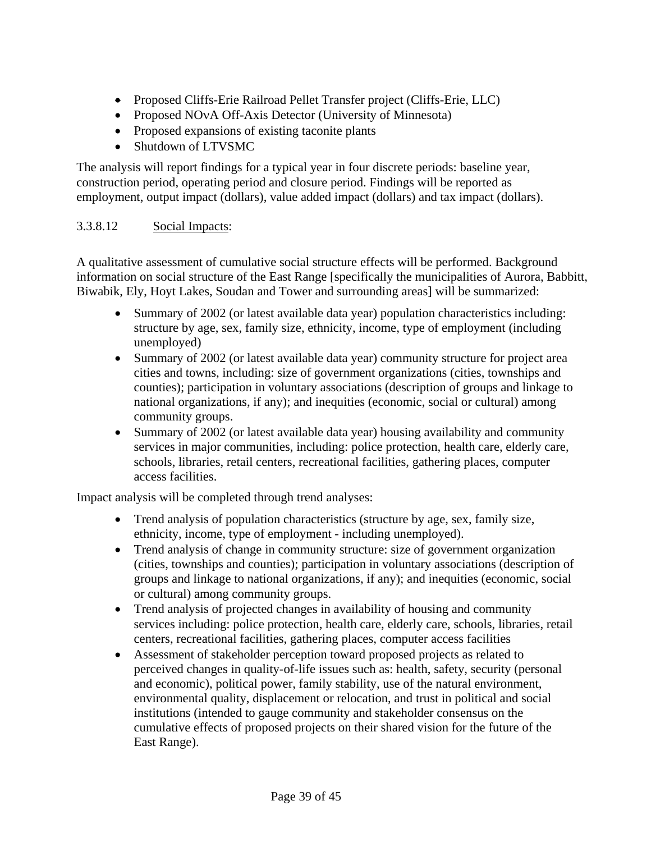- Proposed Cliffs-Erie Railroad Pellet Transfer project (Cliffs-Erie, LLC)
- Proposed NOvA Off-Axis Detector (University of Minnesota)
- Proposed expansions of existing taconite plants
- Shutdown of LTVSMC

The analysis will report findings for a typical year in four discrete periods: baseline year, construction period, operating period and closure period. Findings will be reported as employment, output impact (dollars), value added impact (dollars) and tax impact (dollars).

### 3.3.8.12 Social Impacts:

A qualitative assessment of cumulative social structure effects will be performed. Background information on social structure of the East Range [specifically the municipalities of Aurora, Babbitt, Biwabik, Ely, Hoyt Lakes, Soudan and Tower and surrounding areas] will be summarized:

- Summary of 2002 (or latest available data year) population characteristics including: structure by age, sex, family size, ethnicity, income, type of employment (including unemployed)
- Summary of 2002 (or latest available data year) community structure for project area cities and towns, including: size of government organizations (cities, townships and counties); participation in voluntary associations (description of groups and linkage to national organizations, if any); and inequities (economic, social or cultural) among community groups.
- Summary of 2002 (or latest available data year) housing availability and community services in major communities, including: police protection, health care, elderly care, schools, libraries, retail centers, recreational facilities, gathering places, computer access facilities.

Impact analysis will be completed through trend analyses:

- Trend analysis of population characteristics (structure by age, sex, family size, ethnicity, income, type of employment - including unemployed).
- Trend analysis of change in community structure: size of government organization (cities, townships and counties); participation in voluntary associations (description of groups and linkage to national organizations, if any); and inequities (economic, social or cultural) among community groups.
- Trend analysis of projected changes in availability of housing and community services including: police protection, health care, elderly care, schools, libraries, retail centers, recreational facilities, gathering places, computer access facilities
- Assessment of stakeholder perception toward proposed projects as related to perceived changes in quality-of-life issues such as: health, safety, security (personal and economic), political power, family stability, use of the natural environment, environmental quality, displacement or relocation, and trust in political and social institutions (intended to gauge community and stakeholder consensus on the cumulative effects of proposed projects on their shared vision for the future of the East Range).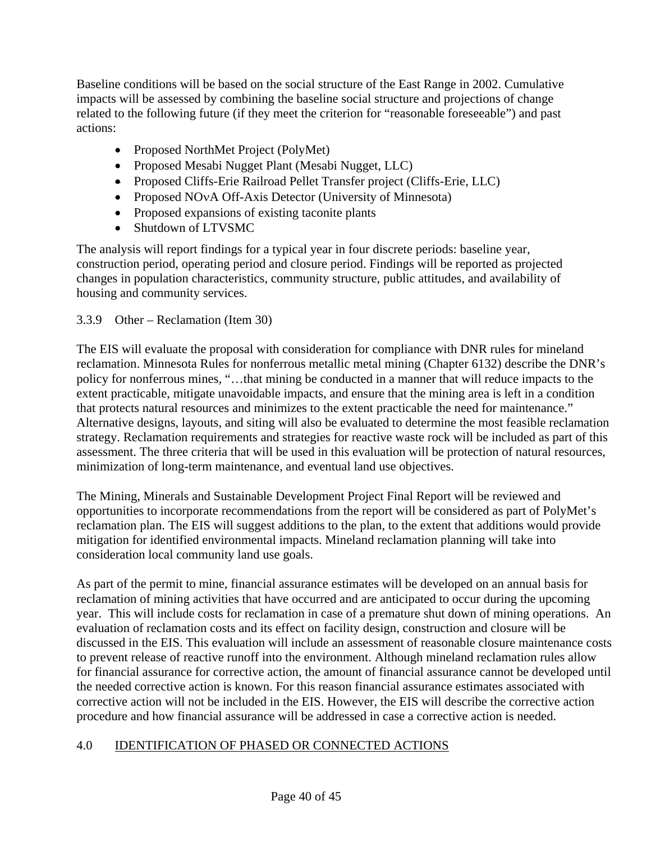Baseline conditions will be based on the social structure of the East Range in 2002. Cumulative impacts will be assessed by combining the baseline social structure and projections of change related to the following future (if they meet the criterion for "reasonable foreseeable") and past actions:

- Proposed NorthMet Project (PolyMet)
- Proposed Mesabi Nugget Plant (Mesabi Nugget, LLC)
- Proposed Cliffs-Erie Railroad Pellet Transfer project (Cliffs-Erie, LLC)
- Proposed NOvA Off-Axis Detector (University of Minnesota)
- Proposed expansions of existing taconite plants
- Shutdown of LTVSMC

The analysis will report findings for a typical year in four discrete periods: baseline year, construction period, operating period and closure period. Findings will be reported as projected changes in population characteristics, community structure, public attitudes, and availability of housing and community services.

### 3.3.9 Other – Reclamation (Item 30)

The EIS will evaluate the proposal with consideration for compliance with DNR rules for mineland reclamation. Minnesota Rules for nonferrous metallic metal mining (Chapter 6132) describe the DNR's policy for nonferrous mines, "…that mining be conducted in a manner that will reduce impacts to the extent practicable, mitigate unavoidable impacts, and ensure that the mining area is left in a condition that protects natural resources and minimizes to the extent practicable the need for maintenance." Alternative designs, layouts, and siting will also be evaluated to determine the most feasible reclamation strategy. Reclamation requirements and strategies for reactive waste rock will be included as part of this assessment. The three criteria that will be used in this evaluation will be protection of natural resources, minimization of long-term maintenance, and eventual land use objectives.

The Mining, Minerals and Sustainable Development Project Final Report will be reviewed and opportunities to incorporate recommendations from the report will be considered as part of PolyMet's reclamation plan. The EIS will suggest additions to the plan, to the extent that additions would provide mitigation for identified environmental impacts. Mineland reclamation planning will take into consideration local community land use goals.

As part of the permit to mine, financial assurance estimates will be developed on an annual basis for reclamation of mining activities that have occurred and are anticipated to occur during the upcoming year. This will include costs for reclamation in case of a premature shut down of mining operations. An evaluation of reclamation costs and its effect on facility design, construction and closure will be discussed in the EIS. This evaluation will include an assessment of reasonable closure maintenance costs to prevent release of reactive runoff into the environment. Although mineland reclamation rules allow for financial assurance for corrective action, the amount of financial assurance cannot be developed until the needed corrective action is known. For this reason financial assurance estimates associated with corrective action will not be included in the EIS. However, the EIS will describe the corrective action procedure and how financial assurance will be addressed in case a corrective action is needed.

## 4.0 IDENTIFICATION OF PHASED OR CONNECTED ACTIONS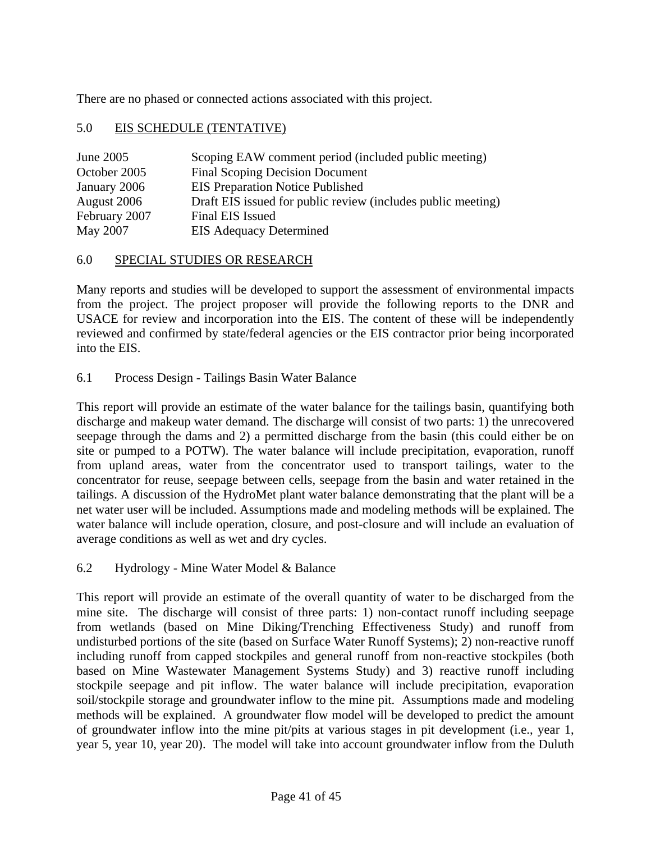There are no phased or connected actions associated with this project.

### 5.0 EIS SCHEDULE (TENTATIVE)

| June 2005     | Scoping EAW comment period (included public meeting)         |
|---------------|--------------------------------------------------------------|
| October 2005  | <b>Final Scoping Decision Document</b>                       |
| January 2006  | <b>EIS Preparation Notice Published</b>                      |
| August 2006   | Draft EIS issued for public review (includes public meeting) |
| February 2007 | Final EIS Issued                                             |
| May 2007      | <b>EIS Adequacy Determined</b>                               |

#### 6.0 SPECIAL STUDIES OR RESEARCH

Many reports and studies will be developed to support the assessment of environmental impacts from the project. The project proposer will provide the following reports to the DNR and USACE for review and incorporation into the EIS. The content of these will be independently reviewed and confirmed by state/federal agencies or the EIS contractor prior being incorporated into the EIS.

6.1 Process Design - Tailings Basin Water Balance

This report will provide an estimate of the water balance for the tailings basin, quantifying both discharge and makeup water demand. The discharge will consist of two parts: 1) the unrecovered seepage through the dams and 2) a permitted discharge from the basin (this could either be on site or pumped to a POTW). The water balance will include precipitation, evaporation, runoff from upland areas, water from the concentrator used to transport tailings, water to the concentrator for reuse, seepage between cells, seepage from the basin and water retained in the tailings. A discussion of the HydroMet plant water balance demonstrating that the plant will be a net water user will be included. Assumptions made and modeling methods will be explained. The water balance will include operation, closure, and post-closure and will include an evaluation of average conditions as well as wet and dry cycles.

6.2 Hydrology - Mine Water Model & Balance

This report will provide an estimate of the overall quantity of water to be discharged from the mine site. The discharge will consist of three parts: 1) non-contact runoff including seepage from wetlands (based on Mine Diking/Trenching Effectiveness Study) and runoff from undisturbed portions of the site (based on Surface Water Runoff Systems); 2) non-reactive runoff including runoff from capped stockpiles and general runoff from non-reactive stockpiles (both based on Mine Wastewater Management Systems Study) and 3) reactive runoff including stockpile seepage and pit inflow. The water balance will include precipitation, evaporation soil/stockpile storage and groundwater inflow to the mine pit. Assumptions made and modeling methods will be explained. A groundwater flow model will be developed to predict the amount of groundwater inflow into the mine pit/pits at various stages in pit development (i.e., year 1, year 5, year 10, year 20). The model will take into account groundwater inflow from the Duluth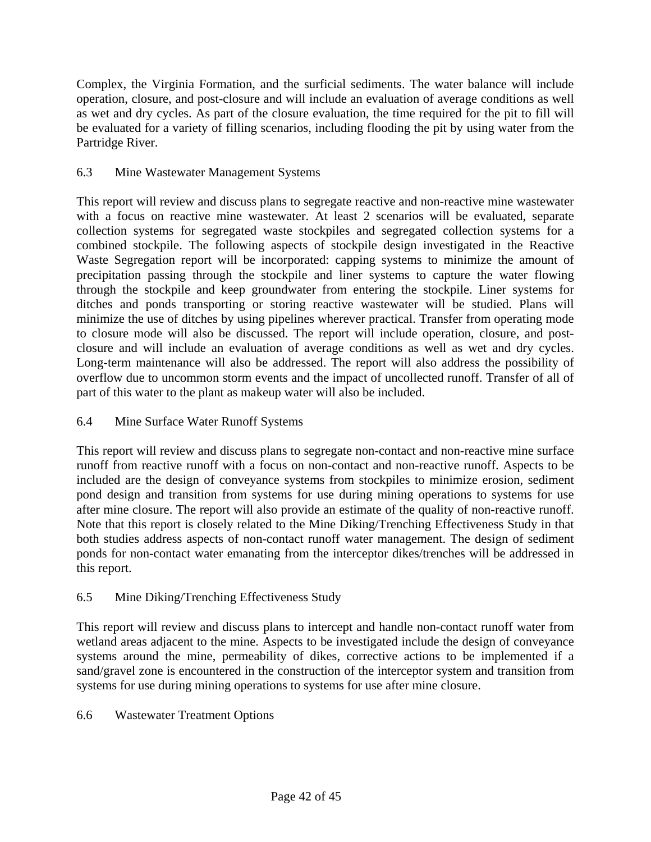Complex, the Virginia Formation, and the surficial sediments. The water balance will include operation, closure, and post-closure and will include an evaluation of average conditions as well as wet and dry cycles. As part of the closure evaluation, the time required for the pit to fill will be evaluated for a variety of filling scenarios, including flooding the pit by using water from the Partridge River.

### 6.3 Mine Wastewater Management Systems

This report will review and discuss plans to segregate reactive and non-reactive mine wastewater with a focus on reactive mine wastewater. At least 2 scenarios will be evaluated, separate collection systems for segregated waste stockpiles and segregated collection systems for a combined stockpile. The following aspects of stockpile design investigated in the Reactive Waste Segregation report will be incorporated: capping systems to minimize the amount of precipitation passing through the stockpile and liner systems to capture the water flowing through the stockpile and keep groundwater from entering the stockpile. Liner systems for ditches and ponds transporting or storing reactive wastewater will be studied. Plans will minimize the use of ditches by using pipelines wherever practical. Transfer from operating mode to closure mode will also be discussed. The report will include operation, closure, and postclosure and will include an evaluation of average conditions as well as wet and dry cycles. Long-term maintenance will also be addressed. The report will also address the possibility of overflow due to uncommon storm events and the impact of uncollected runoff. Transfer of all of part of this water to the plant as makeup water will also be included.

### 6.4 Mine Surface Water Runoff Systems

This report will review and discuss plans to segregate non-contact and non-reactive mine surface runoff from reactive runoff with a focus on non-contact and non-reactive runoff. Aspects to be included are the design of conveyance systems from stockpiles to minimize erosion, sediment pond design and transition from systems for use during mining operations to systems for use after mine closure. The report will also provide an estimate of the quality of non-reactive runoff. Note that this report is closely related to the Mine Diking/Trenching Effectiveness Study in that both studies address aspects of non-contact runoff water management. The design of sediment ponds for non-contact water emanating from the interceptor dikes/trenches will be addressed in this report.

### 6.5 Mine Diking/Trenching Effectiveness Study

This report will review and discuss plans to intercept and handle non-contact runoff water from wetland areas adjacent to the mine. Aspects to be investigated include the design of conveyance systems around the mine, permeability of dikes, corrective actions to be implemented if a sand/gravel zone is encountered in the construction of the interceptor system and transition from systems for use during mining operations to systems for use after mine closure.

### 6.6 Wastewater Treatment Options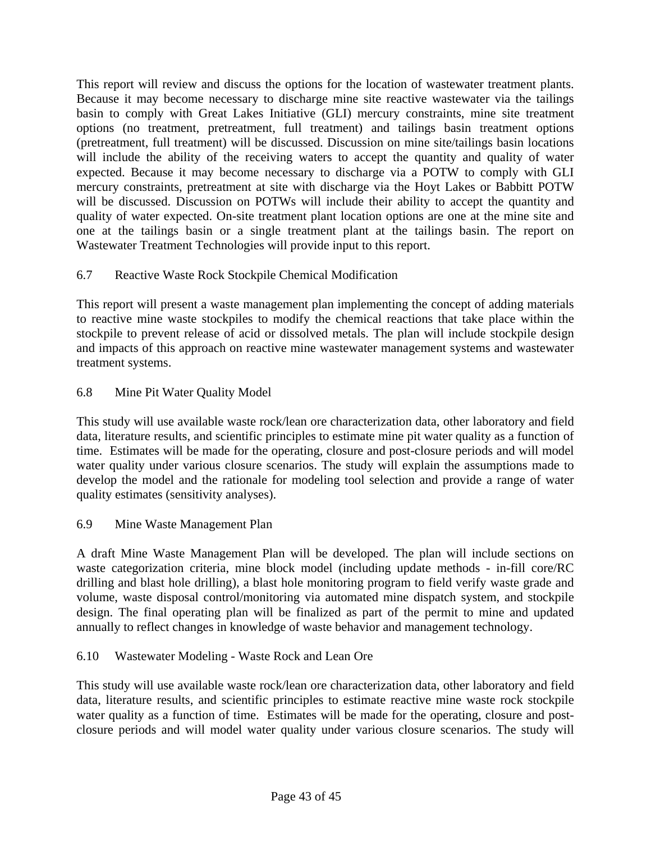This report will review and discuss the options for the location of wastewater treatment plants. Because it may become necessary to discharge mine site reactive wastewater via the tailings basin to comply with Great Lakes Initiative (GLI) mercury constraints, mine site treatment options (no treatment, pretreatment, full treatment) and tailings basin treatment options (pretreatment, full treatment) will be discussed. Discussion on mine site/tailings basin locations will include the ability of the receiving waters to accept the quantity and quality of water expected. Because it may become necessary to discharge via a POTW to comply with GLI mercury constraints, pretreatment at site with discharge via the Hoyt Lakes or Babbitt POTW will be discussed. Discussion on POTWs will include their ability to accept the quantity and quality of water expected. On-site treatment plant location options are one at the mine site and one at the tailings basin or a single treatment plant at the tailings basin. The report on Wastewater Treatment Technologies will provide input to this report.

## 6.7 Reactive Waste Rock Stockpile Chemical Modification

This report will present a waste management plan implementing the concept of adding materials to reactive mine waste stockpiles to modify the chemical reactions that take place within the stockpile to prevent release of acid or dissolved metals. The plan will include stockpile design and impacts of this approach on reactive mine wastewater management systems and wastewater treatment systems.

## 6.8 Mine Pit Water Quality Model

This study will use available waste rock/lean ore characterization data, other laboratory and field data, literature results, and scientific principles to estimate mine pit water quality as a function of time. Estimates will be made for the operating, closure and post-closure periods and will model water quality under various closure scenarios. The study will explain the assumptions made to develop the model and the rationale for modeling tool selection and provide a range of water quality estimates (sensitivity analyses).

## 6.9 Mine Waste Management Plan

A draft Mine Waste Management Plan will be developed. The plan will include sections on waste categorization criteria, mine block model (including update methods - in-fill core/RC drilling and blast hole drilling), a blast hole monitoring program to field verify waste grade and volume, waste disposal control/monitoring via automated mine dispatch system, and stockpile design. The final operating plan will be finalized as part of the permit to mine and updated annually to reflect changes in knowledge of waste behavior and management technology.

# 6.10 Wastewater Modeling - Waste Rock and Lean Ore

This study will use available waste rock/lean ore characterization data, other laboratory and field data, literature results, and scientific principles to estimate reactive mine waste rock stockpile water quality as a function of time. Estimates will be made for the operating, closure and postclosure periods and will model water quality under various closure scenarios. The study will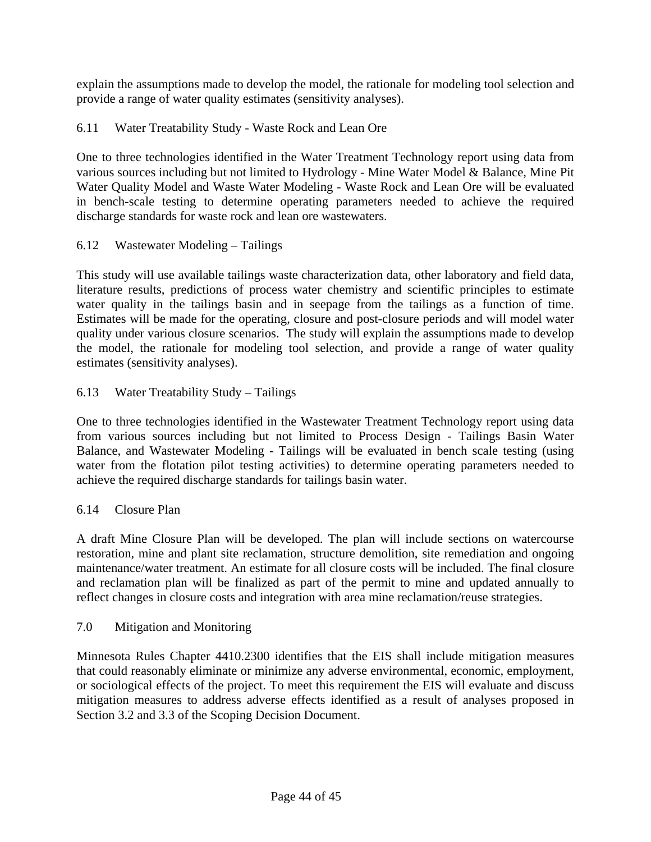explain the assumptions made to develop the model, the rationale for modeling tool selection and provide a range of water quality estimates (sensitivity analyses).

### 6.11 Water Treatability Study - Waste Rock and Lean Ore

One to three technologies identified in the Water Treatment Technology report using data from various sources including but not limited to Hydrology - Mine Water Model & Balance, Mine Pit Water Quality Model and Waste Water Modeling - Waste Rock and Lean Ore will be evaluated in bench-scale testing to determine operating parameters needed to achieve the required discharge standards for waste rock and lean ore wastewaters.

### 6.12 Wastewater Modeling – Tailings

This study will use available tailings waste characterization data, other laboratory and field data, literature results, predictions of process water chemistry and scientific principles to estimate water quality in the tailings basin and in seepage from the tailings as a function of time. Estimates will be made for the operating, closure and post-closure periods and will model water quality under various closure scenarios. The study will explain the assumptions made to develop the model, the rationale for modeling tool selection, and provide a range of water quality estimates (sensitivity analyses).

### 6.13 Water Treatability Study – Tailings

One to three technologies identified in the Wastewater Treatment Technology report using data from various sources including but not limited to Process Design - Tailings Basin Water Balance, and Wastewater Modeling - Tailings will be evaluated in bench scale testing (using water from the flotation pilot testing activities) to determine operating parameters needed to achieve the required discharge standards for tailings basin water.

### 6.14 Closure Plan

A draft Mine Closure Plan will be developed. The plan will include sections on watercourse restoration, mine and plant site reclamation, structure demolition, site remediation and ongoing maintenance/water treatment. An estimate for all closure costs will be included. The final closure and reclamation plan will be finalized as part of the permit to mine and updated annually to reflect changes in closure costs and integration with area mine reclamation/reuse strategies.

### 7.0 Mitigation and Monitoring

Minnesota Rules Chapter 4410.2300 identifies that the EIS shall include mitigation measures that could reasonably eliminate or minimize any adverse environmental, economic, employment, or sociological effects of the project. To meet this requirement the EIS will evaluate and discuss mitigation measures to address adverse effects identified as a result of analyses proposed in Section 3.2 and 3.3 of the Scoping Decision Document.